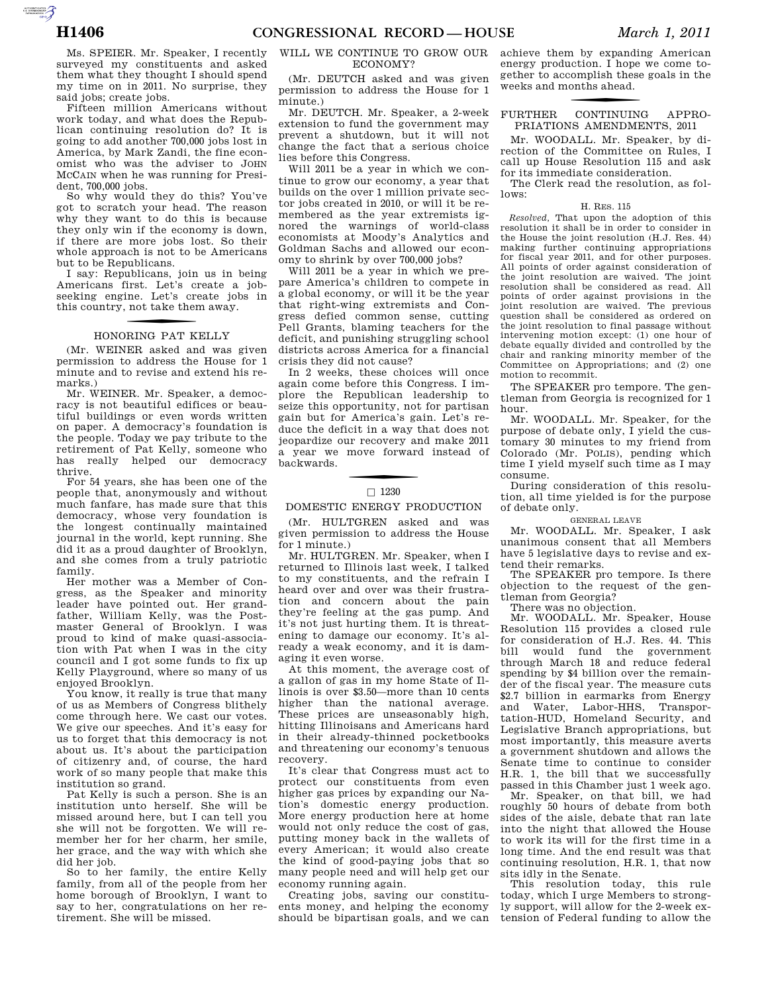AUTOROTOMICALE

surveyed my constituents and asked them what they thought I should spend my time on in 2011. No surprise, they said jobs; create jobs.

Fifteen million Americans without work today, and what does the Republican continuing resolution do? It is going to add another 700,000 jobs lost in America, by Mark Zandi, the fine economist who was the adviser to JOHN MCCAIN when he was running for President, 700,000 jobs.

So why would they do this? You've got to scratch your head. The reason why they want to do this is because they only win if the economy is down, if there are more jobs lost. So their whole approach is not to be Americans but to be Republicans.

I say: Republicans, join us in being Americans first. Let's create a jobseeking engine. Let's create jobs in this country, not take them away.

# f HONORING PAT KELLY

(Mr. WEINER asked and was given permission to address the House for 1 minute and to revise and extend his remarks.)

Mr. WEINER. Mr. Speaker, a democracy is not beautiful edifices or beautiful buildings or even words written on paper. A democracy's foundation is the people. Today we pay tribute to the retirement of Pat Kelly, someone who has really helped our democracy thrive.

For 54 years, she has been one of the people that, anonymously and without much fanfare, has made sure that this democracy, whose very foundation is the longest continually maintained journal in the world, kept running. She did it as a proud daughter of Brooklyn, and she comes from a truly patriotic family.

Her mother was a Member of Congress, as the Speaker and minority leader have pointed out. Her grandfather, William Kelly, was the Postmaster General of Brooklyn. I was proud to kind of make quasi-association with Pat when I was in the city council and I got some funds to fix up Kelly Playground, where so many of us enjoyed Brooklyn.

You know, it really is true that many of us as Members of Congress blithely come through here. We cast our votes. We give our speeches. And it's easy for us to forget that this democracy is not about us. It's about the participation of citizenry and, of course, the hard work of so many people that make this institution so grand.

Pat Kelly is such a person. She is an institution unto herself. She will be missed around here, but I can tell you she will not be forgotten. We will remember her for her charm, her smile, her grace, and the way with which she did her job.

So to her family, the entire Kelly family, from all of the people from her home borough of Brooklyn, I want to say to her, congratulations on her retirement. She will be missed.

### WILL WE CONTINUE TO GROW OUR ECONOMY?

(Mr. DEUTCH asked and was given permission to address the House for 1 minute.)

Mr. DEUTCH. Mr. Speaker, a 2-week extension to fund the government may prevent a shutdown, but it will not change the fact that a serious choice lies before this Congress.

Will 2011 be a year in which we continue to grow our economy, a year that builds on the over 1 million private sector jobs created in 2010, or will it be remembered as the year extremists ignored the warnings of world-class economists at Moody's Analytics and Goldman Sachs and allowed our economy to shrink by over 700,000 jobs?

Will 2011 be a year in which we prepare America's children to compete in a global economy, or will it be the year that right-wing extremists and Congress defied common sense, cutting Pell Grants, blaming teachers for the deficit, and punishing struggling school districts across America for a financial crisis they did not cause?

In 2 weeks, these choices will once again come before this Congress. I implore the Republican leadership to seize this opportunity, not for partisan gain but for America's gain. Let's reduce the deficit in a way that does not jeopardize our recovery and make 2011 a year we move forward instead of backwards.

# $\Box$  1230

#### DOMESTIC ENERGY PRODUCTION

(Mr. HULTGREN asked and was given permission to address the House for 1 minute.)

Mr. HULTGREN. Mr. Speaker, when I returned to Illinois last week, I talked to my constituents, and the refrain I heard over and over was their frustration and concern about the pain they're feeling at the gas pump. And it's not just hurting them. It is threatening to damage our economy. It's already a weak economy, and it is damaging it even worse.

At this moment, the average cost of a gallon of gas in my home State of Illinois is over \$3.50—more than 10 cents higher than the national average. These prices are unseasonably high, hitting Illinoisans and Americans hard in their already-thinned pocketbooks and threatening our economy's tenuous recovery.

It's clear that Congress must act to protect our constituents from even higher gas prices by expanding our Nation's domestic energy production. More energy production here at home would not only reduce the cost of gas, putting money back in the wallets of every American; it would also create the kind of good-paying jobs that so many people need and will help get our economy running again.

Creating jobs, saving our constituents money, and helping the economy should be bipartisan goals, and we can

achieve them by expanding American energy production. I hope we come together to accomplish these goals in the weeks and months ahead.

## f FURTHER CONTINUING APPRO-PRIATIONS AMENDMENTS, 2011

Mr. WOODALL. Mr. Speaker, by direction of the Committee on Rules, I call up House Resolution 115 and ask for its immediate consideration.

The Clerk read the resolution, as follows:

#### H. RES. 115

*Resolved,* That upon the adoption of this resolution it shall be in order to consider in the House the joint resolution (H.J. Res. 44) making further continuing appropriations for fiscal year 2011, and for other purposes. All points of order against consideration of the joint resolution are waived. The joint resolution shall be considered as read. All points of order against provisions in the joint resolution are waived. The previous question shall be considered as ordered on the joint resolution to final passage without intervening motion except: (1) one hour of debate equally divided and controlled by the chair and ranking minority member of the Committee on Appropriations; and (2) one motion to recommit.

The SPEAKER pro tempore. The gentleman from Georgia is recognized for 1 hour.

Mr. WOODALL. Mr. Speaker, for the purpose of debate only, I yield the customary 30 minutes to my friend from Colorado (Mr. POLIS), pending which time I yield myself such time as I may consume.

During consideration of this resolution, all time yielded is for the purpose of debate only.

#### GENERAL LEAVE

Mr. WOODALL. Mr. Speaker, I ask unanimous consent that all Members have 5 legislative days to revise and extend their remarks.

The SPEAKER pro tempore. Is there objection to the request of the gentleman from Georgia?

There was no objection.

Mr. WOODALL. Mr. Speaker, House Resolution 115 provides a closed rule for consideration of H.J. Res. 44. This bill would fund the government through March 18 and reduce federal spending by \$4 billion over the remainder of the fiscal year. The measure cuts \$2.7 billion in earmarks from Energy and Water, Labor-HHS, Transportation-HUD, Homeland Security, and Legislative Branch appropriations, but most importantly, this measure averts a government shutdown and allows the Senate time to continue to consider H.R. 1, the bill that we successfully passed in this Chamber just 1 week ago.

Mr. Speaker, on that bill, we had roughly 50 hours of debate from both sides of the aisle, debate that ran late into the night that allowed the House to work its will for the first time in a long time. And the end result was that continuing resolution, H.R. 1, that now sits idly in the Senate.

This resolution today, this rule today, which I urge Members to strongly support, will allow for the 2-week extension of Federal funding to allow the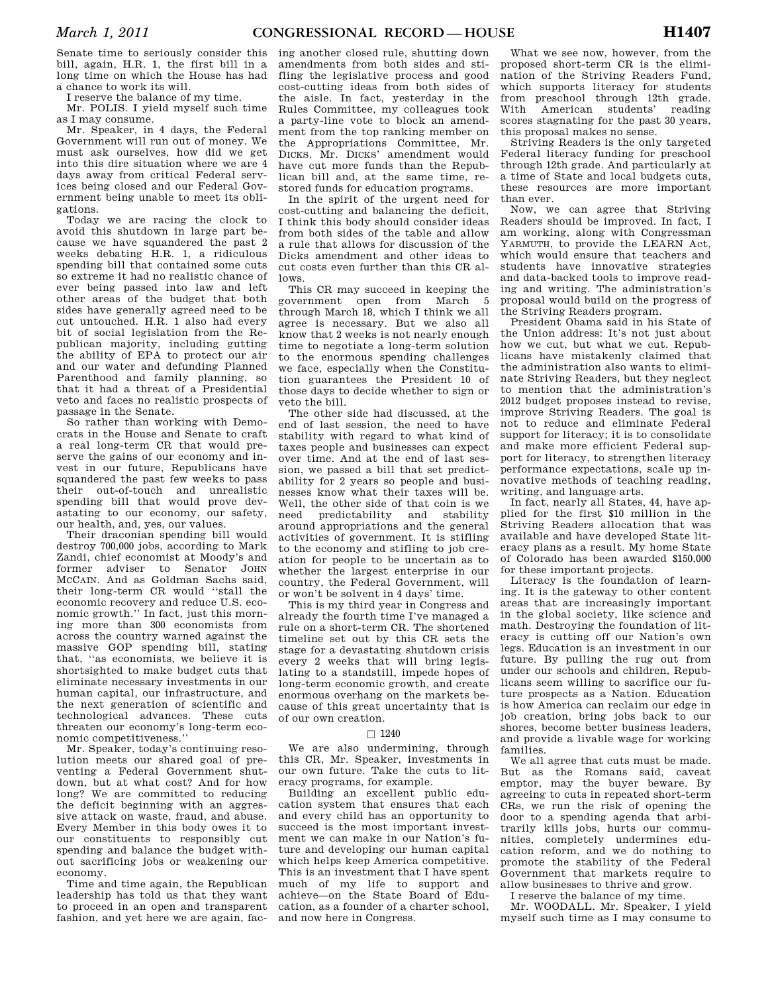Senate time to seriously consider this bill, again, H.R. 1, the first bill in a long time on which the House has had a chance to work its will.

I reserve the balance of my time.

Mr. POLIS. I yield myself such time as I may consume.

Mr. Speaker, in 4 days, the Federal Government will run out of money. We must ask ourselves, how did we get into this dire situation where we are 4 days away from critical Federal services being closed and our Federal Government being unable to meet its obligations.

Today we are racing the clock to avoid this shutdown in large part because we have squandered the past 2 weeks debating H.R. 1, a ridiculous spending bill that contained some cuts so extreme it had no realistic chance of ever being passed into law and left other areas of the budget that both sides have generally agreed need to be cut untouched. H.R. 1 also had every bit of social legislation from the Republican majority, including gutting the ability of EPA to protect our air and our water and defunding Planned Parenthood and family planning, so that it had a threat of a Presidential veto and faces no realistic prospects of passage in the Senate.

So rather than working with Democrats in the House and Senate to craft a real long-term CR that would preserve the gains of our economy and invest in our future, Republicans have squandered the past few weeks to pass their out-of-touch and unrealistic spending bill that would prove devastating to our economy, our safety, our health, and, yes, our values.

Their draconian spending bill would destroy 700,000 jobs, according to Mark Zandi, chief economist at Moody's and former adviser to Senator JOHN MCCAIN. And as Goldman Sachs said, their long-term CR would ''stall the economic recovery and reduce U.S. economic growth.'' In fact, just this morning more than 300 economists from across the country warned against the massive GOP spending bill, stating that, ''as economists, we believe it is shortsighted to make budget cuts that eliminate necessary investments in our human capital, our infrastructure, and the next generation of scientific and technological advances. These cuts threaten our economy's long-term economic competitiveness.''

Mr. Speaker, today's continuing resolution meets our shared goal of preventing a Federal Government shutdown, but at what cost? And for how long? We are committed to reducing the deficit beginning with an aggressive attack on waste, fraud, and abuse. Every Member in this body owes it to our constituents to responsibly cut spending and balance the budget without sacrificing jobs or weakening our economy.

Time and time again, the Republican leadership has told us that they want to proceed in an open and transparent fashion, and yet here we are again, fac-

ing another closed rule, shutting down amendments from both sides and stifling the legislative process and good cost-cutting ideas from both sides of the aisle. In fact, yesterday in the Rules Committee, my colleagues took a party-line vote to block an amendment from the top ranking member on the Appropriations Committee, Mr. DICKS. Mr. DICKS' amendment would have cut more funds than the Republican bill and, at the same time, restored funds for education programs.

In the spirit of the urgent need for cost-cutting and balancing the deficit, I think this body should consider ideas from both sides of the table and allow a rule that allows for discussion of the Dicks amendment and other ideas to cut costs even further than this CR allows.

This CR may succeed in keeping the government open from March 5 through March 18, which I think we all agree is necessary. But we also all know that 2 weeks is not nearly enough time to negotiate a long-term solution to the enormous spending challenges we face, especially when the Constitution guarantees the President 10 of those days to decide whether to sign or veto the bill.

The other side had discussed, at the end of last session, the need to have stability with regard to what kind of taxes people and businesses can expect over time. And at the end of last session, we passed a bill that set predictability for 2 years so people and businesses know what their taxes will be. Well, the other side of that coin is we need predictability and stability around appropriations and the general activities of government. It is stifling to the economy and stifling to job creation for people to be uncertain as to whether the largest enterprise in our country, the Federal Government, will or won't be solvent in 4 days' time.

This is my third year in Congress and already the fourth time I've managed a rule on a short-term CR. The shortened timeline set out by this CR sets the stage for a devastating shutdown crisis every 2 weeks that will bring legislating to a standstill, impede hopes of long-term economic growth, and create enormous overhang on the markets because of this great uncertainty that is of our own creation.

#### $\Box$  1240

We are also undermining, through this CR, Mr. Speaker, investments in our own future. Take the cuts to literacy programs, for example.

Building an excellent public education system that ensures that each and every child has an opportunity to succeed is the most important investment we can make in our Nation's future and developing our human capital which helps keep America competitive. This is an investment that I have spent much of my life to support and achieve—on the State Board of Education, as a founder of a charter school, and now here in Congress.

What we see now, however, from the proposed short-term CR is the elimination of the Striving Readers Fund, which supports literacy for students from preschool through 12th grade. With American students' reading scores stagnating for the past 30 years, this proposal makes no sense.

Striving Readers is the only targeted Federal literacy funding for preschool through 12th grade. And particularly at a time of State and local budgets cuts, these resources are more important than ever.

Now, we can agree that Striving Readers should be improved. In fact, I am working, along with Congressman YARMUTH, to provide the LEARN Act, which would ensure that teachers and students have innovative strategies and data-backed tools to improve reading and writing. The administration's proposal would build on the progress of the Striving Readers program.

President Obama said in his State of the Union address: It's not just about how we cut, but what we cut. Republicans have mistakenly claimed that the administration also wants to eliminate Striving Readers, but they neglect to mention that the administration's 2012 budget proposes instead to revise, improve Striving Readers. The goal is not to reduce and eliminate Federal support for literacy; it is to consolidate and make more efficient Federal support for literacy, to strengthen literacy performance expectations, scale up innovative methods of teaching reading, writing, and language arts.

In fact, nearly all States, 44, have applied for the first \$10 million in the Striving Readers allocation that was available and have developed State literacy plans as a result. My home State of Colorado has been awarded \$150,000 for these important projects.

Literacy is the foundation of learning. It is the gateway to other content areas that are increasingly important in the global society, like science and math. Destroying the foundation of literacy is cutting off our Nation's own legs. Education is an investment in our future. By pulling the rug out from under our schools and children, Republicans seem willing to sacrifice our future prospects as a Nation. Education is how America can reclaim our edge in job creation, bring jobs back to our shores, become better business leaders, and provide a livable wage for working families.

We all agree that cuts must be made. But as the Romans said, caveat emptor, may the buyer beware. By agreeing to cuts in repeated short-term CRs, we run the risk of opening the door to a spending agenda that arbitrarily kills jobs, hurts our communities, completely undermines education reform, and we do nothing to promote the stability of the Federal Government that markets require to allow businesses to thrive and grow.

I reserve the balance of my time.

Mr. WOODALL. Mr. Speaker, I yield myself such time as I may consume to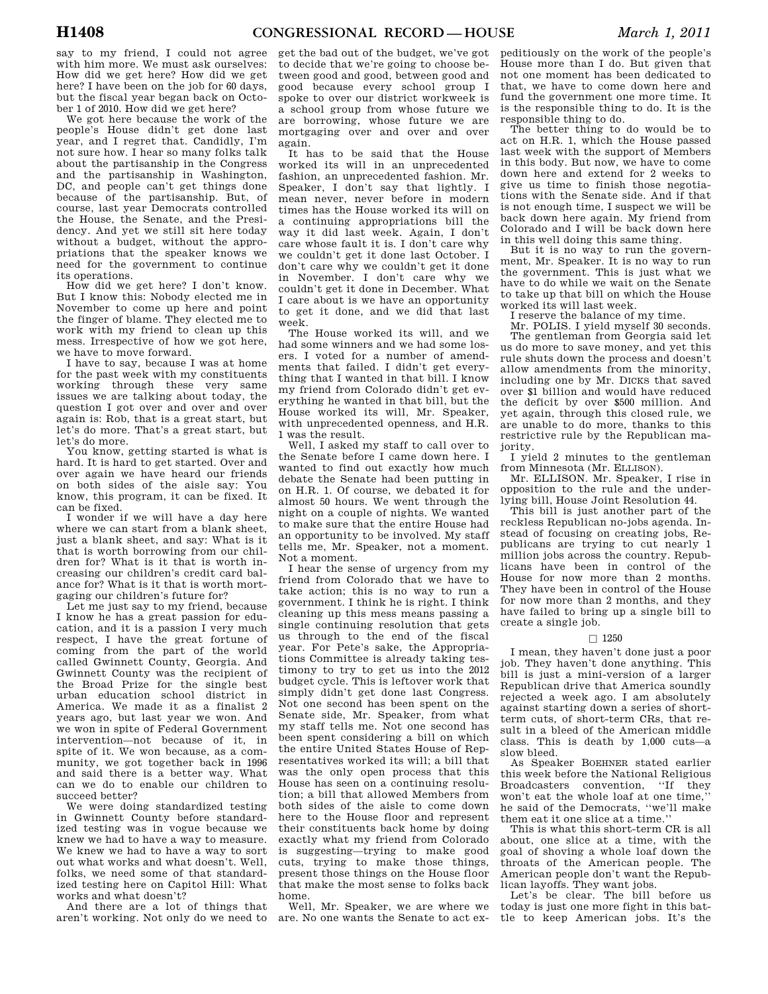say to my friend, I could not agree with him more. We must ask ourselves: How did we get here? How did we get here? I have been on the job for 60 days, but the fiscal year began back on October 1 of 2010. How did we get here?

We got here because the work of the people's House didn't get done last year, and I regret that. Candidly, I'm not sure how. I hear so many folks talk about the partisanship in the Congress and the partisanship in Washington, DC, and people can't get things done because of the partisanship. But, of course, last year Democrats controlled the House, the Senate, and the Presidency. And yet we still sit here today without a budget, without the appropriations that the speaker knows we need for the government to continue its operations.

How did we get here? I don't know. But I know this: Nobody elected me in November to come up here and point the finger of blame. They elected me to work with my friend to clean up this mess. Irrespective of how we got here, we have to move forward.

I have to say, because I was at home for the past week with my constituents working through these very same issues we are talking about today, the question I got over and over and over again is: Rob, that is a great start, but let's do more. That's a great start, but let's do more.

You know, getting started is what is hard. It is hard to get started. Over and over again we have heard our friends on both sides of the aisle say: You know, this program, it can be fixed. It can be fixed.

I wonder if we will have a day here where we can start from a blank sheet, just a blank sheet, and say: What is it that is worth borrowing from our children for? What is it that is worth increasing our children's credit card balance for? What is it that is worth mortgaging our children's future for?

Let me just say to my friend, because I know he has a great passion for education, and it is a passion I very much respect, I have the great fortune of coming from the part of the world called Gwinnett County, Georgia. And Gwinnett County was the recipient of the Broad Prize for the single best urban education school district in America. We made it as a finalist 2 years ago, but last year we won. And we won in spite of Federal Government intervention—not because of it, in spite of it. We won because, as a community, we got together back in 1996 and said there is a better way. What can we do to enable our children to succeed better?

We were doing standardized testing in Gwinnett County before standardized testing was in vogue because we knew we had to have a way to measure. We knew we had to have a way to sort out what works and what doesn't. Well, folks, we need some of that standardized testing here on Capitol Hill: What works and what doesn't?

And there are a lot of things that aren't working. Not only do we need to

get the bad out of the budget, we've got to decide that we're going to choose between good and good, between good and good because every school group I spoke to over our district workweek is a school group from whose future we are borrowing, whose future we are mortgaging over and over and over again.

It has to be said that the House worked its will in an unprecedented fashion, an unprecedented fashion. Mr. Speaker, I don't say that lightly. I mean never, never before in modern times has the House worked its will on a continuing appropriations bill the way it did last week. Again, I don't care whose fault it is. I don't care why we couldn't get it done last October. I don't care why we couldn't get it done in November. I don't care why we couldn't get it done in December. What I care about is we have an opportunity to get it done, and we did that last week.

The House worked its will, and we had some winners and we had some losers. I voted for a number of amendments that failed. I didn't get everything that I wanted in that bill. I know my friend from Colorado didn't get everything he wanted in that bill, but the House worked its will, Mr. Speaker, with unprecedented openness, and H.R. 1 was the result.

Well, I asked my staff to call over to the Senate before I came down here. I wanted to find out exactly how much debate the Senate had been putting in on H.R. 1. Of course, we debated it for almost 50 hours. We went through the night on a couple of nights. We wanted to make sure that the entire House had an opportunity to be involved. My staff tells me, Mr. Speaker, not a moment. Not a moment.

I hear the sense of urgency from my friend from Colorado that we have to take action; this is no way to run a government. I think he is right. I think cleaning up this mess means passing a single continuing resolution that gets us through to the end of the fiscal year. For Pete's sake, the Appropriations Committee is already taking testimony to try to get us into the 2012 budget cycle. This is leftover work that simply didn't get done last Congress. Not one second has been spent on the Senate side, Mr. Speaker, from what my staff tells me. Not one second has been spent considering a bill on which the entire United States House of Representatives worked its will; a bill that was the only open process that this House has seen on a continuing resolution; a bill that allowed Members from both sides of the aisle to come down here to the House floor and represent their constituents back home by doing exactly what my friend from Colorado is suggesting—trying to make good cuts, trying to make those things, present those things on the House floor that make the most sense to folks back home.

Well, Mr. Speaker, we are where we are. No one wants the Senate to act ex-

peditiously on the work of the people's House more than I do. But given that not one moment has been dedicated to that, we have to come down here and fund the government one more time. It is the responsible thing to do. It is the responsible thing to do.

The better thing to do would be to act on H.R. 1, which the House passed last week with the support of Members in this body. But now, we have to come down here and extend for 2 weeks to give us time to finish those negotiations with the Senate side. And if that is not enough time, I suspect we will be back down here again. My friend from Colorado and I will be back down here in this well doing this same thing.

But it is no way to run the government, Mr. Speaker. It is no way to run the government. This is just what we have to do while we wait on the Senate to take up that bill on which the House worked its will last week.

I reserve the balance of my time.

Mr. POLIS. I yield myself 30 seconds. The gentleman from Georgia said let us do more to save money, and yet this rule shuts down the process and doesn't allow amendments from the minority, including one by Mr. DICKS that saved over \$1 billion and would have reduced the deficit by over \$500 million. And yet again, through this closed rule, we are unable to do more, thanks to this restrictive rule by the Republican majority.

I yield 2 minutes to the gentleman from Minnesota (Mr. ELLISON).

Mr. ELLISON. Mr. Speaker, I rise in opposition to the rule and the underlying bill, House Joint Resolution 44.

This bill is just another part of the reckless Republican no-jobs agenda. Instead of focusing on creating jobs, Republicans are trying to cut nearly 1 million jobs across the country. Republicans have been in control of the House for now more than 2 months. They have been in control of the House for now more than 2 months, and they have failed to bring up a single bill to create a single job.

#### $\Box$  1250

I mean, they haven't done just a poor job. They haven't done anything. This bill is just a mini-version of a larger Republican drive that America soundly rejected a week ago. I am absolutely against starting down a series of shortterm cuts, of short-term CRs, that result in a bleed of the American middle class. This is death by 1,000 cuts—a slow bleed.

As Speaker BOEHNER stated earlier this week before the National Religious Broadcasters convention, ''If they won't eat the whole loaf at one time,'' he said of the Democrats, ''we'll make them eat it one slice at a time.''

This is what this short-term CR is all about, one slice at a time, with the goal of shoving a whole loaf down the throats of the American people. The American people don't want the Republican layoffs. They want jobs.

Let's be clear. The bill before us today is just one more fight in this battle to keep American jobs. It's the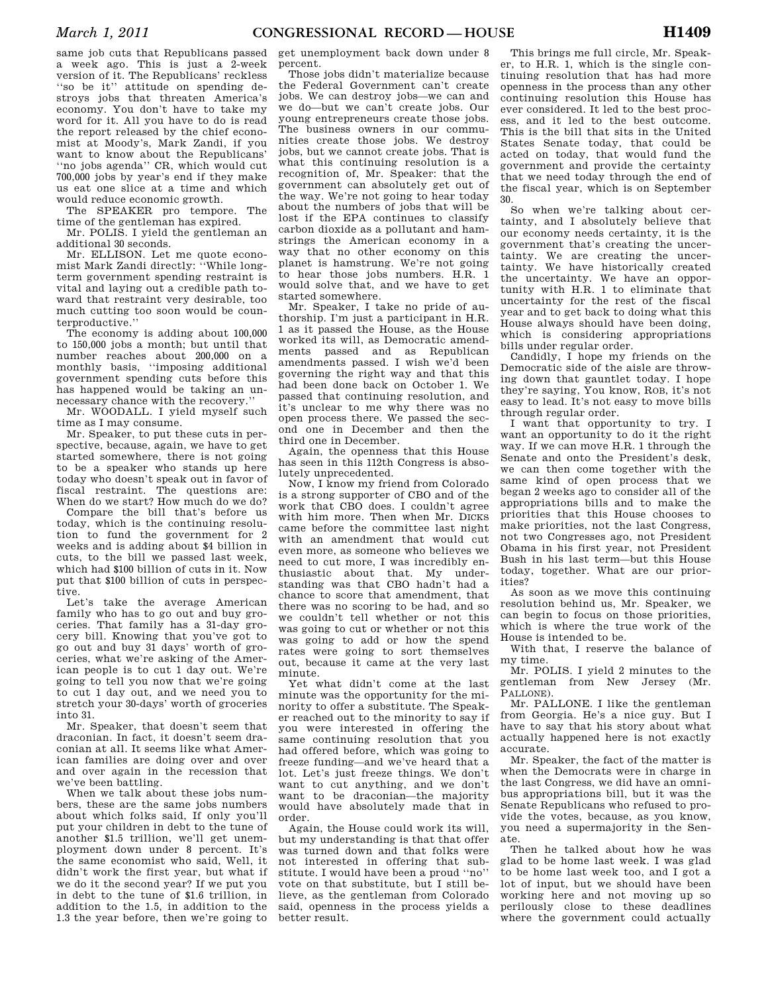same job cuts that Republicans passed a week ago. This is just a 2-week version of it. The Republicans' reckless ''so be it'' attitude on spending destroys jobs that threaten America's economy. You don't have to take my word for it. All you have to do is read the report released by the chief economist at Moody's, Mark Zandi, if you want to know about the Republicans' "no jobs agenda" CR, which would cut 700,000 jobs by year's end if they make us eat one slice at a time and which would reduce economic growth.

The SPEAKER pro tempore. The time of the gentleman has expired.

Mr. POLIS. I yield the gentleman an additional 30 seconds.

Mr. ELLISON. Let me quote economist Mark Zandi directly: ''While longterm government spending restraint is vital and laying out a credible path toward that restraint very desirable, too much cutting too soon would be counterproductive.''

The economy is adding about 100,000 to 150,000 jobs a month; but until that number reaches about 200,000 on a monthly basis, ''imposing additional government spending cuts before this has happened would be taking an unnecessary chance with the recovery.''

Mr. WOODALL. I yield myself such time as I may consume.

Mr. Speaker, to put these cuts in perspective, because, again, we have to get started somewhere, there is not going to be a speaker who stands up here today who doesn't speak out in favor of fiscal restraint. The questions are: When do we start? How much do we do?

Compare the bill that's before us today, which is the continuing resolution to fund the government for 2 weeks and is adding about \$4 billion in cuts, to the bill we passed last week, which had \$100 billion of cuts in it. Now put that \$100 billion of cuts in perspective.

Let's take the average American family who has to go out and buy groceries. That family has a 31-day grocery bill. Knowing that you've got to go out and buy 31 days' worth of groceries, what we're asking of the American people is to cut 1 day out. We're going to tell you now that we're going to cut 1 day out, and we need you to stretch your 30-days' worth of groceries into 31.

Mr. Speaker, that doesn't seem that draconian. In fact, it doesn't seem draconian at all. It seems like what American families are doing over and over and over again in the recession that we've been battling.

When we talk about these jobs numbers, these are the same jobs numbers about which folks said, If only you'll put your children in debt to the tune of another \$1.5 trillion, we'll get unemployment down under 8 percent. It's the same economist who said, Well, it didn't work the first year, but what if we do it the second year? If we put you in debt to the tune of \$1.6 trillion, in addition to the 1.5, in addition to the 1.3 the year before, then we're going to

get unemployment back down under 8 percent.

Those jobs didn't materialize because the Federal Government can't create jobs. We can destroy jobs—we can and we do—but we can't create jobs. Our young entrepreneurs create those jobs. The business owners in our communities create those jobs. We destroy jobs, but we cannot create jobs. That is what this continuing resolution is a recognition of, Mr. Speaker: that the government can absolutely get out of the way. We're not going to hear today about the numbers of jobs that will be lost if the EPA continues to classify carbon dioxide as a pollutant and hamstrings the American economy in a way that no other economy on this planet is hamstrung. We're not going to hear those jobs numbers. H.R. 1 would solve that, and we have to get started somewhere.

Mr. Speaker, I take no pride of authorship. I'm just a participant in H.R. 1 as it passed the House, as the House worked its will, as Democratic amendments passed and as Republican amendments passed. I wish we'd been governing the right way and that this had been done back on October 1. We passed that continuing resolution, and it's unclear to me why there was no open process there. We passed the second one in December and then the third one in December.

Again, the openness that this House has seen in this 112th Congress is absolutely unprecedented.

Now, I know my friend from Colorado is a strong supporter of CBO and of the work that CBO does. I couldn't agree with him more. Then when Mr. DICKS came before the committee last night with an amendment that would cut even more, as someone who believes we need to cut more, I was incredibly enthusiastic about that. My understanding was that CBO hadn't had a chance to score that amendment, that there was no scoring to be had, and so we couldn't tell whether or not this was going to cut or whether or not this was going to add or how the spend rates were going to sort themselves out, because it came at the very last minute.

Yet what didn't come at the last minute was the opportunity for the minority to offer a substitute. The Speaker reached out to the minority to say if you were interested in offering the same continuing resolution that you had offered before, which was going to freeze funding—and we've heard that a lot. Let's just freeze things. We don't want to cut anything, and we don't want to be draconian—the majority would have absolutely made that in order.

Again, the House could work its will, but my understanding is that that offer was turned down and that folks were not interested in offering that substitute. I would have been a proud ''no'' vote on that substitute, but I still believe, as the gentleman from Colorado said, openness in the process yields a better result.

This brings me full circle, Mr. Speaker, to H.R. 1, which is the single continuing resolution that has had more openness in the process than any other continuing resolution this House has ever considered. It led to the best process, and it led to the best outcome. This is the bill that sits in the United States Senate today, that could be acted on today, that would fund the government and provide the certainty that we need today through the end of the fiscal year, which is on September 30.

So when we're talking about certainty, and I absolutely believe that our economy needs certainty, it is the government that's creating the uncertainty. We are creating the uncertainty. We have historically created the uncertainty. We have an opportunity with H.R. 1 to eliminate that uncertainty for the rest of the fiscal year and to get back to doing what this House always should have been doing, which is considering appropriations bills under regular order.

Candidly, I hope my friends on the Democratic side of the aisle are throwing down that gauntlet today. I hope they're saying, You know, ROB, it's not easy to lead. It's not easy to move bills through regular order.

I want that opportunity to try. I want an opportunity to do it the right way. If we can move H.R. 1 through the Senate and onto the President's desk, we can then come together with the same kind of open process that we began 2 weeks ago to consider all of the appropriations bills and to make the priorities that this House chooses to make priorities, not the last Congress, not two Congresses ago, not President Obama in his first year, not President Bush in his last term—but this House today, together. What are our priorities?

As soon as we move this continuing resolution behind us, Mr. Speaker, we can begin to focus on those priorities, which is where the true work of the House is intended to be.

With that, I reserve the balance of my time.

Mr. POLIS. I yield 2 minutes to the gentleman from New Jersey (Mr. PALLONE).

Mr. PALLONE. I like the gentleman from Georgia. He's a nice guy. But I have to say that his story about what actually happened here is not exactly accurate.

Mr. Speaker, the fact of the matter is when the Democrats were in charge in the last Congress, we did have an omnibus appropriations bill, but it was the Senate Republicans who refused to provide the votes, because, as you know, you need a supermajority in the Senate.

Then he talked about how he was glad to be home last week. I was glad to be home last week too, and I got a lot of input, but we should have been working here and not moving up so perilously close to these deadlines where the government could actually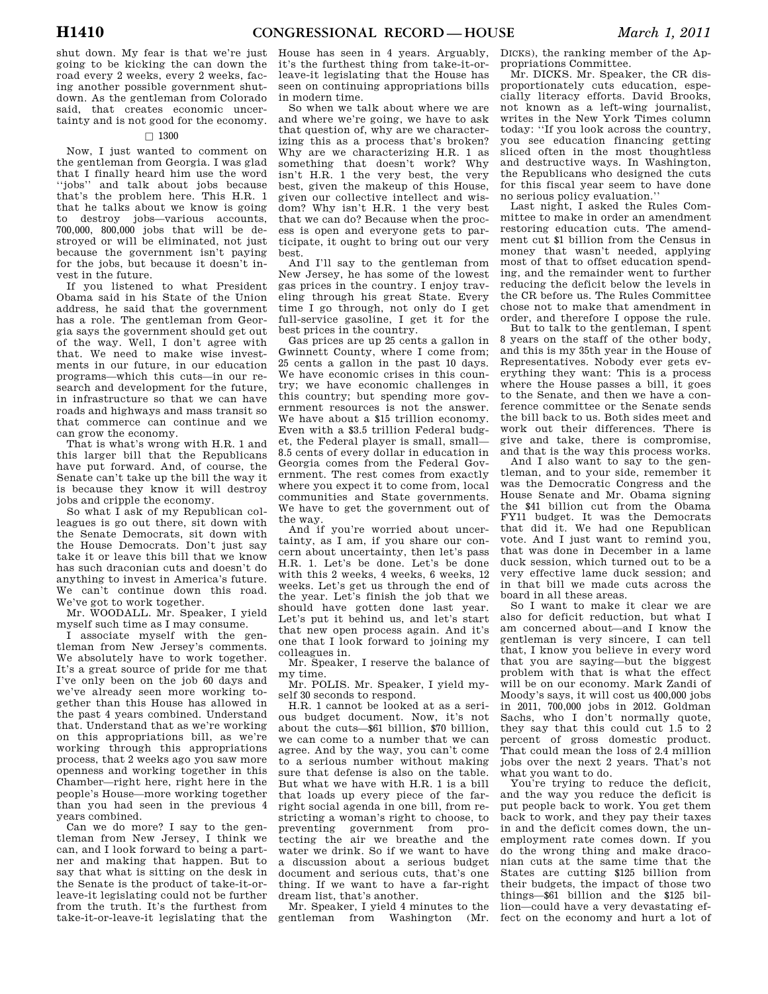shut down. My fear is that we're just going to be kicking the can down the road every 2 weeks, every 2 weeks, facing another possible government shutdown. As the gentleman from Colorado said, that creates economic uncertainty and is not good for the economy.

## $\Box$  1300

Now, I just wanted to comment on the gentleman from Georgia. I was glad that I finally heard him use the word ''jobs'' and talk about jobs because that's the problem here. This H.R. 1 that he talks about we know is going<br>to destroy jobs—various accounts destroy jobs—various accounts, 700,000, 800,000 jobs that will be destroyed or will be eliminated, not just because the government isn't paying for the jobs, but because it doesn't invest in the future.

If you listened to what President Obama said in his State of the Union address, he said that the government has a role. The gentleman from Georgia says the government should get out of the way. Well, I don't agree with that. We need to make wise investments in our future, in our education programs—which this cuts—in our research and development for the future, in infrastructure so that we can have roads and highways and mass transit so that commerce can continue and we can grow the economy.

That is what's wrong with H.R. 1 and this larger bill that the Republicans have put forward. And, of course, the Senate can't take up the bill the way it is because they know it will destroy jobs and cripple the economy.

So what I ask of my Republican colleagues is go out there, sit down with the Senate Democrats, sit down with the House Democrats. Don't just say take it or leave this bill that we know has such draconian cuts and doesn't do anything to invest in America's future. We can't continue down this road. We've got to work together.

Mr. WOODALL. Mr. Speaker, I yield myself such time as I may consume.

I associate myself with the gentleman from New Jersey's comments. We absolutely have to work together. It's a great source of pride for me that I've only been on the job 60 days and we've already seen more working together than this House has allowed in the past 4 years combined. Understand that. Understand that as we're working on this appropriations bill, as we're working through this appropriations process, that 2 weeks ago you saw more openness and working together in this Chamber—right here, right here in the people's House—more working together than you had seen in the previous 4 years combined.

Can we do more? I say to the gentleman from New Jersey, I think we can, and I look forward to being a partner and making that happen. But to say that what is sitting on the desk in the Senate is the product of take-it-orleave-it legislating could not be further from the truth. It's the furthest from take-it-or-leave-it legislating that the

House has seen in 4 years. Arguably, it's the furthest thing from take-it-orleave-it legislating that the House has seen on continuing appropriations bills in modern time.

So when we talk about where we are and where we're going, we have to ask that question of, why are we characterizing this as a process that's broken? Why are we characterizing H.R. 1 as something that doesn't work? Why isn't H.R. 1 the very best, the very best, given the makeup of this House, given our collective intellect and wisdom? Why isn't H.R. 1 the very best that we can do? Because when the process is open and everyone gets to participate, it ought to bring out our very best.

And I'll say to the gentleman from New Jersey, he has some of the lowest gas prices in the country. I enjoy traveling through his great State. Every time I go through, not only do I get full-service gasoline, I get it for the best prices in the country.

Gas prices are up 25 cents a gallon in Gwinnett County, where I come from; 25 cents a gallon in the past 10 days. We have economic crises in this country; we have economic challenges in this country; but spending more government resources is not the answer. We have about a \$15 trillion economy. Even with a \$3.5 trillion Federal budget, the Federal player is small, small— 8.5 cents of every dollar in education in Georgia comes from the Federal Government. The rest comes from exactly where you expect it to come from, local communities and State governments. We have to get the government out of the way.

And if you're worried about uncertainty, as I am, if you share our concern about uncertainty, then let's pass H.R. 1. Let's be done. Let's be done with this 2 weeks, 4 weeks, 6 weeks, 12 weeks. Let's get us through the end of the year. Let's finish the job that we should have gotten done last year. Let's put it behind us, and let's start that new open process again. And it's one that I look forward to joining my colleagues in.

Mr. Speaker, I reserve the balance of my time.

Mr. POLIS. Mr. Speaker, I yield myself 30 seconds to respond.

H.R. 1 cannot be looked at as a serious budget document. Now, it's not about the cuts—\$61 billion, \$70 billion, we can come to a number that we can agree. And by the way, you can't come to a serious number without making sure that defense is also on the table. But what we have with H.R. 1 is a bill that loads up every piece of the farright social agenda in one bill, from restricting a woman's right to choose, to<br>preventing government from propreventing government tecting the air we breathe and the water we drink. So if we want to have a discussion about a serious budget document and serious cuts, that's one thing. If we want to have a far-right dream list, that's another.

Mr. Speaker, I yield 4 minutes to the gentleman from Washington (Mr.

DICKS), the ranking member of the Appropriations Committee.

Mr. DICKS. Mr. Speaker, the CR disproportionately cuts education, especially literacy efforts. David Brooks, not known as a left-wing journalist, writes in the New York Times column today: ''If you look across the country, you see education financing getting sliced often in the most thoughtless and destructive ways. In Washington, the Republicans who designed the cuts for this fiscal year seem to have done no serious policy evaluation.''

Last night, I asked the Rules Committee to make in order an amendment restoring education cuts. The amendment cut \$1 billion from the Census in money that wasn't needed, applying most of that to offset education spending, and the remainder went to further reducing the deficit below the levels in the CR before us. The Rules Committee chose not to make that amendment in order, and therefore I oppose the rule.

But to talk to the gentleman, I spent 8 years on the staff of the other body, and this is my 35th year in the House of Representatives. Nobody ever gets everything they want: This is a process where the House passes a bill, it goes to the Senate, and then we have a conference committee or the Senate sends the bill back to us. Both sides meet and work out their differences. There is give and take, there is compromise, and that is the way this process works.

And I also want to say to the gentleman, and to your side, remember it was the Democratic Congress and the House Senate and Mr. Obama signing the \$41 billion cut from the Obama FY11 budget. It was the Democrats that did it. We had one Republican vote. And I just want to remind you, that was done in December in a lame duck session, which turned out to be a very effective lame duck session; and in that bill we made cuts across the board in all these areas.

So I want to make it clear we are also for deficit reduction, but what I am concerned about—and I know the gentleman is very sincere, I can tell that, I know you believe in every word that you are saying—but the biggest problem with that is what the effect will be on our economy. Mark Zandi of Moody's says, it will cost us 400,000 jobs in 2011, 700,000 jobs in 2012. Goldman Sachs, who I don't normally quote, they say that this could cut 1.5 to 2 percent of gross domestic product. That could mean the loss of 2.4 million jobs over the next 2 years. That's not what you want to do.

You're trying to reduce the deficit, and the way you reduce the deficit is put people back to work. You get them back to work, and they pay their taxes in and the deficit comes down, the unemployment rate comes down. If you do the wrong thing and make draconian cuts at the same time that the States are cutting \$125 billion from their budgets, the impact of those two things—\$61 billion and the \$125 billion—could have a very devastating effect on the economy and hurt a lot of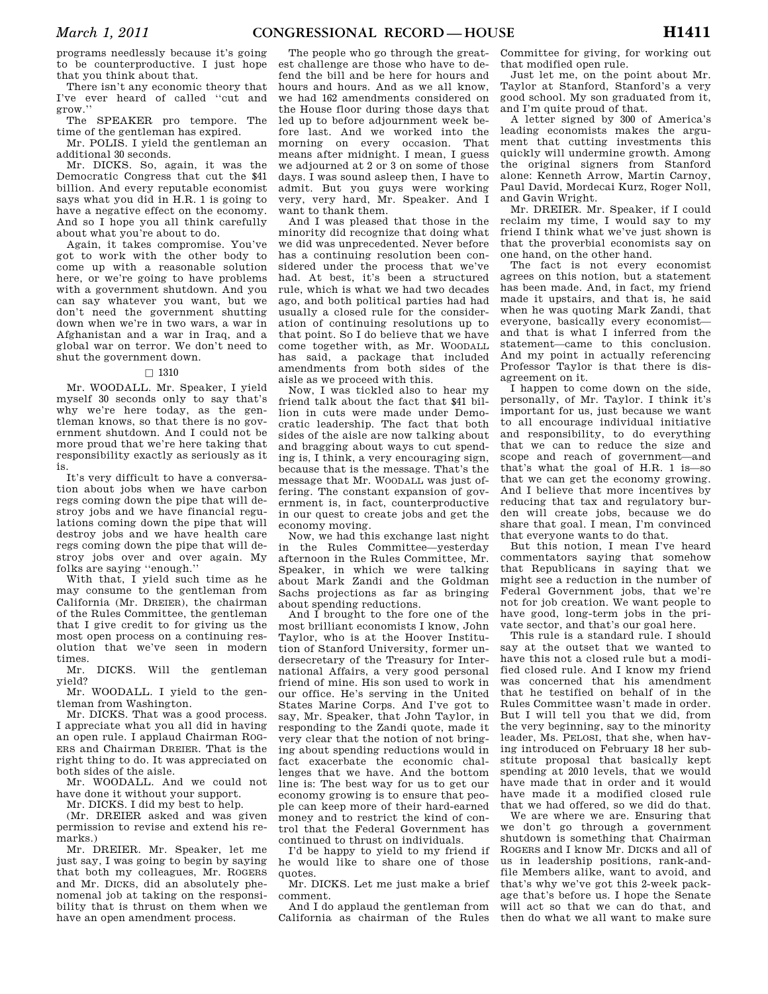programs needlessly because it's going to be counterproductive. I just hope that you think about that.

There isn't any economic theory that I've ever heard of called ''cut and grow.''

The SPEAKER pro tempore. The time of the gentleman has expired.

Mr. POLIS. I yield the gentleman an additional 30 seconds.

Mr. DICKS. So, again, it was the Democratic Congress that cut the \$41 billion. And every reputable economist says what you did in H.R. 1 is going to have a negative effect on the economy. And so I hope you all think carefully about what you're about to do.

Again, it takes compromise. You've got to work with the other body to come up with a reasonable solution here, or we're going to have problems with a government shutdown. And you can say whatever you want, but we don't need the government shutting down when we're in two wars, a war in Afghanistan and a war in Iraq, and a global war on terror. We don't need to shut the government down.

#### $\Box$  1310

Mr. WOODALL. Mr. Speaker, I yield myself 30 seconds only to say that's why we're here today, as the gentleman knows, so that there is no government shutdown. And I could not be more proud that we're here taking that responsibility exactly as seriously as it is.

It's very difficult to have a conversation about jobs when we have carbon regs coming down the pipe that will destroy jobs and we have financial regulations coming down the pipe that will destroy jobs and we have health care regs coming down the pipe that will destroy jobs over and over again. My folks are saying ''enough.''

With that, I yield such time as he may consume to the gentleman from California (Mr. DREIER), the chairman of the Rules Committee, the gentleman that I give credit to for giving us the most open process on a continuing resolution that we've seen in modern times.<br>Mr

DICKS. Will the gentleman yield?

Mr. WOODALL. I yield to the gentleman from Washington.

Mr. DICKS. That was a good process. I appreciate what you all did in having an open rule. I applaud Chairman ROG-ERS and Chairman DREIER. That is the right thing to do. It was appreciated on both sides of the aisle.

Mr. WOODALL. And we could not have done it without your support.

Mr. DICKS. I did my best to help. (Mr. DREIER asked and was given permission to revise and extend his remarks.)

Mr. DREIER. Mr. Speaker, let me just say, I was going to begin by saying that both my colleagues, Mr. ROGERS and Mr. DICKS, did an absolutely phenomenal job at taking on the responsibility that is thrust on them when we have an open amendment process.

The people who go through the greatest challenge are those who have to defend the bill and be here for hours and hours and hours. And as we all know, we had 162 amendments considered on the House floor during those days that led up to before adjournment week before last. And we worked into the morning on every occasion. That means after midnight. I mean, I guess we adjourned at 2 or 3 on some of those days. I was sound asleep then, I have to admit. But you guys were working very, very hard, Mr. Speaker. And I want to thank them.

And I was pleased that those in the minority did recognize that doing what we did was unprecedented. Never before has a continuing resolution been considered under the process that we've had. At best, it's been a structured rule, which is what we had two decades ago, and both political parties had had usually a closed rule for the consideration of continuing resolutions up to that point. So I do believe that we have come together with, as Mr. WOODALL has said, a package that included amendments from both sides of the aisle as we proceed with this.

Now, I was tickled also to hear my friend talk about the fact that \$41 billion in cuts were made under Democratic leadership. The fact that both sides of the aisle are now talking about and bragging about ways to cut spending is, I think, a very encouraging sign, because that is the message. That's the message that Mr. WOODALL was just offering. The constant expansion of government is, in fact, counterproductive in our quest to create jobs and get the economy moving.

Now, we had this exchange last night in the Rules Committee—yesterday afternoon in the Rules Committee, Mr. Speaker, in which we were talking about Mark Zandi and the Goldman Sachs projections as far as bringing about spending reductions.

And I brought to the fore one of the most brilliant economists I know, John Taylor, who is at the Hoover Institution of Stanford University, former undersecretary of the Treasury for International Affairs, a very good personal friend of mine. His son used to work in our office. He's serving in the United States Marine Corps. And I've got to say, Mr. Speaker, that John Taylor, in responding to the Zandi quote, made it very clear that the notion of not bringing about spending reductions would in fact exacerbate the economic challenges that we have. And the bottom line is: The best way for us to get our economy growing is to ensure that people can keep more of their hard-earned money and to restrict the kind of control that the Federal Government has continued to thrust on individuals.

I'd be happy to yield to my friend if he would like to share one of those quotes.

Mr. DICKS. Let me just make a brief comment.

And I do applaud the gentleman from California as chairman of the Rules Committee for giving, for working out that modified open rule.

Just let me, on the point about Mr. Taylor at Stanford, Stanford's a very good school. My son graduated from it, and I'm quite proud of that.

A letter signed by 300 of America's leading economists makes the argument that cutting investments this quickly will undermine growth. Among the original signers from Stanford alone: Kenneth Arrow, Martin Carnoy, Paul David, Mordecai Kurz, Roger Noll, and Gavin Wright.

Mr. DREIER. Mr. Speaker, if I could reclaim my time, I would say to my friend I think what we've just shown is that the proverbial economists say on one hand, on the other hand.

The fact is not every economist agrees on this notion, but a statement has been made. And, in fact, my friend made it upstairs, and that is, he said when he was quoting Mark Zandi, that everyone, basically every economist and that is what I inferred from the statement—came to this conclusion. And my point in actually referencing Professor Taylor is that there is disagreement on it.

I happen to come down on the side, personally, of Mr. Taylor. I think it's important for us, just because we want to all encourage individual initiative and responsibility, to do everything that we can to reduce the size and scope and reach of government—and that's what the goal of H.R. 1 is—so that we can get the economy growing. And I believe that more incentives by reducing that tax and regulatory burden will create jobs, because we do share that goal. I mean, I'm convinced that everyone wants to do that.

But this notion, I mean I've heard commentators saying that somehow that Republicans in saying that we might see a reduction in the number of Federal Government jobs, that we're not for job creation. We want people to have good, long-term jobs in the private sector, and that's our goal here.

This rule is a standard rule. I should say at the outset that we wanted to have this not a closed rule but a modified closed rule. And I know my friend was concerned that his amendment that he testified on behalf of in the Rules Committee wasn't made in order. But I will tell you that we did, from the very beginning, say to the minority leader, Ms. PELOSI, that she, when having introduced on February 18 her substitute proposal that basically kept spending at 2010 levels, that we would have made that in order and it would have made it a modified closed rule that we had offered, so we did do that.

We are where we are. Ensuring that we don't go through a government shutdown is something that Chairman ROGERS and I know Mr. DICKS and all of us in leadership positions, rank-andfile Members alike, want to avoid, and that's why we've got this 2-week package that's before us. I hope the Senate will act so that we can do that, and then do what we all want to make sure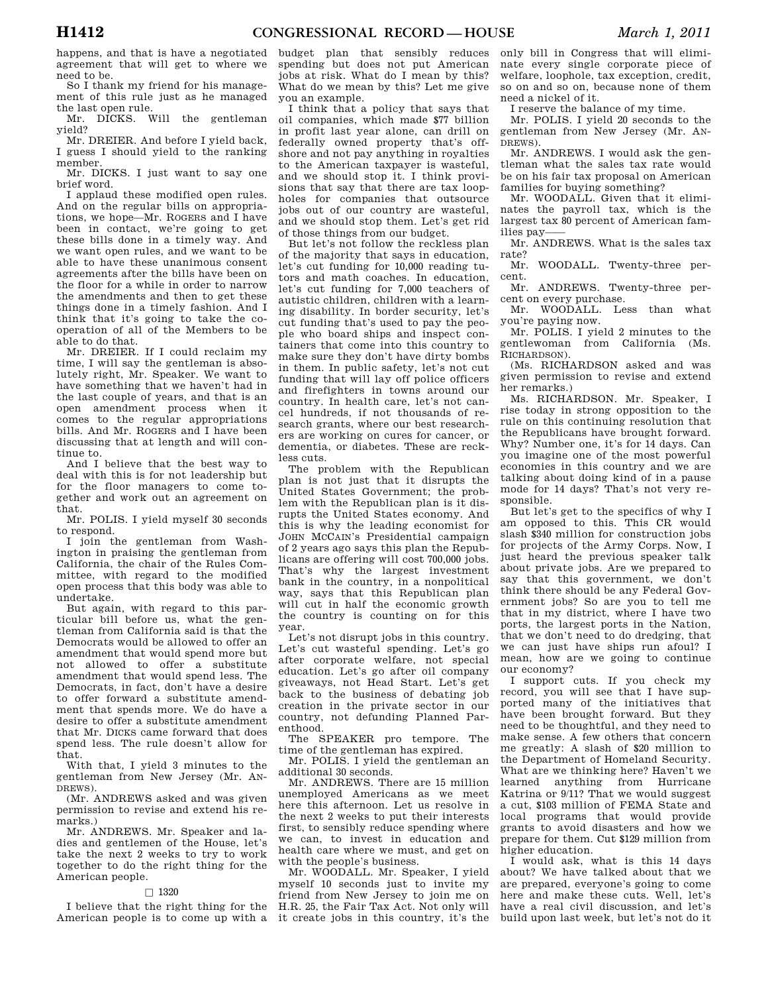happens, and that is have a negotiated agreement that will get to where we need to be.

So I thank my friend for his management of this rule just as he managed the last open rule.

Mr. DICKS. Will the gentleman yield?

Mr. DREIER. And before I yield back, I guess I should yield to the ranking member.

Mr. DICKS. I just want to say one brief word.

I applaud these modified open rules. And on the regular bills on appropriations, we hope—Mr. ROGERS and I have been in contact, we're going to get these bills done in a timely way. And we want open rules, and we want to be able to have these unanimous consent agreements after the bills have been on the floor for a while in order to narrow the amendments and then to get these things done in a timely fashion. And I think that it's going to take the cooperation of all of the Members to be able to do that.

Mr. DREIER. If I could reclaim my time, I will say the gentleman is absolutely right, Mr. Speaker. We want to have something that we haven't had in the last couple of years, and that is an open amendment process when it comes to the regular appropriations bills. And Mr. ROGERS and I have been discussing that at length and will continue to.

And I believe that the best way to deal with this is for not leadership but for the floor managers to come together and work out an agreement on that.

Mr. POLIS. I yield myself 30 seconds to respond.

I join the gentleman from Washington in praising the gentleman from California, the chair of the Rules Committee, with regard to the modified open process that this body was able to undertake.

But again, with regard to this particular bill before us, what the gentleman from California said is that the Democrats would be allowed to offer an amendment that would spend more but not allowed to offer a substitute amendment that would spend less. The Democrats, in fact, don't have a desire to offer forward a substitute amendment that spends more. We do have a desire to offer a substitute amendment that Mr. DICKS came forward that does spend less. The rule doesn't allow for that.

With that, I yield 3 minutes to the gentleman from New Jersey (Mr. AN-DREWS).

(Mr. ANDREWS asked and was given permission to revise and extend his remarks.)

Mr. ANDREWS. Mr. Speaker and ladies and gentlemen of the House, let's take the next 2 weeks to try to work together to do the right thing for the American people.

#### $\Box$  1320

I believe that the right thing for the

budget plan that sensibly reduces spending but does not put American jobs at risk. What do I mean by this? What do we mean by this? Let me give you an example.

I think that a policy that says that oil companies, which made \$77 billion in profit last year alone, can drill on federally owned property that's offshore and not pay anything in royalties to the American taxpayer is wasteful, and we should stop it. I think provisions that say that there are tax loopholes for companies that outsource jobs out of our country are wasteful, and we should stop them. Let's get rid of those things from our budget.

But let's not follow the reckless plan of the majority that says in education, let's cut funding for 10,000 reading tutors and math coaches. In education, let's cut funding for 7,000 teachers of autistic children, children with a learning disability. In border security, let's cut funding that's used to pay the people who board ships and inspect containers that come into this country to make sure they don't have dirty bombs in them. In public safety, let's not cut funding that will lay off police officers and firefighters in towns around our country. In health care, let's not cancel hundreds, if not thousands of research grants, where our best researchers are working on cures for cancer, or dementia, or diabetes. These are reckless cuts.

The problem with the Republican plan is not just that it disrupts the United States Government; the problem with the Republican plan is it disrupts the United States economy. And this is why the leading economist for JOHN MCCAIN's Presidential campaign of 2 years ago says this plan the Republicans are offering will cost 700,000 jobs. That's why the largest investment bank in the country, in a nonpolitical way, says that this Republican plan will cut in half the economic growth the country is counting on for this year.

Let's not disrupt jobs in this country. Let's cut wasteful spending. Let's go after corporate welfare, not special education. Let's go after oil company giveaways, not Head Start. Let's get back to the business of debating job creation in the private sector in our country, not defunding Planned Parenthood.

The SPEAKER pro tempore. The time of the gentleman has expired.

Mr. POLIS. I yield the gentleman an additional 30 seconds.

Mr. ANDREWS. There are 15 million unemployed Americans as we meet here this afternoon. Let us resolve in the next 2 weeks to put their interests first, to sensibly reduce spending where we can, to invest in education and health care where we must, and get on with the people's business.

American people is to come up with a it create jobs in this country, it's the Mr. WOODALL. Mr. Speaker, I yield myself 10 seconds just to invite my friend from New Jersey to join me on H.R. 25, the Fair Tax Act. Not only will

only bill in Congress that will eliminate every single corporate piece of welfare, loophole, tax exception, credit, so on and so on, because none of them need a nickel of it.

I reserve the balance of my time.

Mr. POLIS. I yield 20 seconds to the gentleman from New Jersey (Mr. AN-DREWS).

Mr. ANDREWS. I would ask the gentleman what the sales tax rate would be on his fair tax proposal on American families for buying something?

Mr. WOODALL. Given that it eliminates the payroll tax, which is the largest tax 80 percent of American families pay-

Mr. ANDREWS. What is the sales tax rate?

Mr. WOODALL. Twenty-three percent.

Mr. ANDREWS. Twenty-three percent on every purchase.

Mr. WOODALL. Less than what you're paying now.

Mr. POLIS. I yield 2 minutes to the gentlewoman from California (Ms. RICHARDSON).

(Ms. RICHARDSON asked and was given permission to revise and extend her remarks.)

Ms. RICHARDSON. Mr. Speaker, I rise today in strong opposition to the rule on this continuing resolution that the Republicans have brought forward. Why? Number one, it's for 14 days. Can you imagine one of the most powerful economies in this country and we are talking about doing kind of in a pause mode for 14 days? That's not very responsible.

But let's get to the specifics of why I am opposed to this. This CR would slash \$340 million for construction jobs for projects of the Army Corps. Now, I just heard the previous speaker talk about private jobs. Are we prepared to say that this government, we don't think there should be any Federal Government jobs? So are you to tell me that in my district, where I have two ports, the largest ports in the Nation, that we don't need to do dredging, that we can just have ships run afoul? I mean, how are we going to continue our economy?

I support cuts. If you check my record, you will see that I have supported many of the initiatives that have been brought forward. But they need to be thoughtful, and they need to make sense. A few others that concern me greatly: A slash of \$20 million to the Department of Homeland Security. What are we thinking here? Haven't we learned anything from Hurricane Katrina or 9/11? That we would suggest a cut, \$103 million of FEMA State and local programs that would provide grants to avoid disasters and how we prepare for them. Cut \$129 million from higher education.

I would ask, what is this 14 days about? We have talked about that we are prepared, everyone's going to come here and make these cuts. Well, let's have a real civil discussion, and let's build upon last week, but let's not do it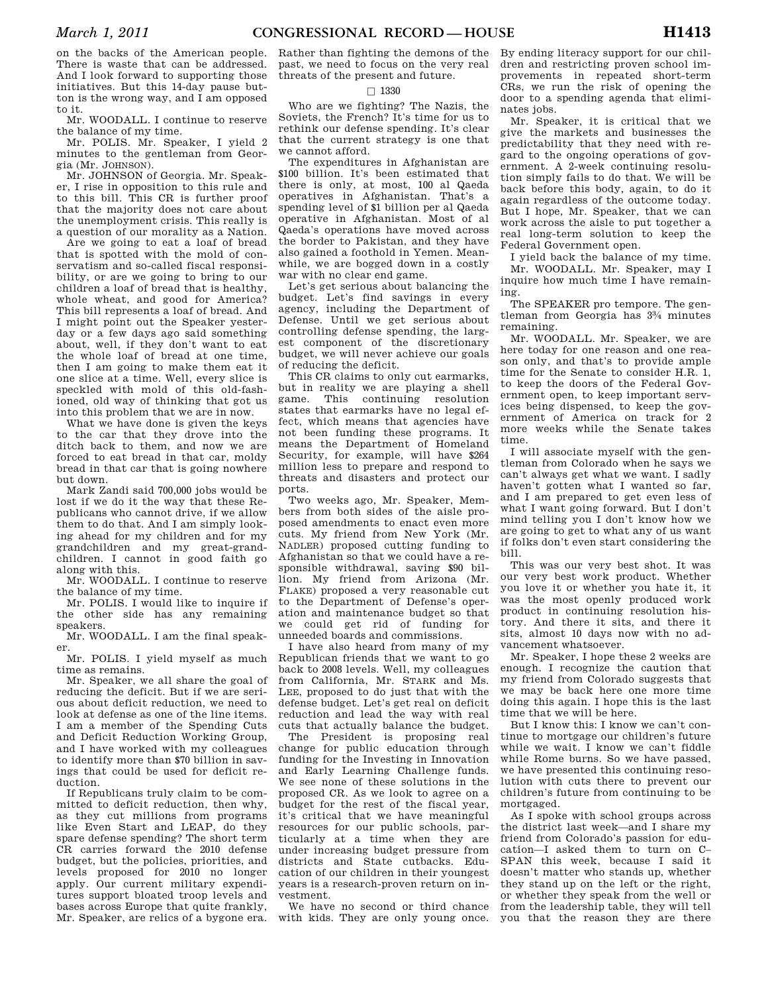on the backs of the American people. There is waste that can be addressed. And I look forward to supporting those initiatives. But this 14-day pause button is the wrong way, and I am opposed to it.

Mr. WOODALL. I continue to reserve the balance of my time.

Mr. POLIS. Mr. Speaker, I yield 2 minutes to the gentleman from Georgia (Mr. JOHNSON).

Mr. JOHNSON of Georgia. Mr. Speaker, I rise in opposition to this rule and to this bill. This CR is further proof that the majority does not care about the unemployment crisis. This really is a question of our morality as a Nation.

Are we going to eat a loaf of bread that is spotted with the mold of conservatism and so-called fiscal responsibility, or are we going to bring to our children a loaf of bread that is healthy, whole wheat, and good for America? This bill represents a loaf of bread. And I might point out the Speaker yesterday or a few days ago said something about, well, if they don't want to eat the whole loaf of bread at one time, then I am going to make them eat it one slice at a time. Well, every slice is speckled with mold of this old-fashioned, old way of thinking that got us into this problem that we are in now.

What we have done is given the keys to the car that they drove into the ditch back to them, and now we are forced to eat bread in that car, moldy bread in that car that is going nowhere but down.

Mark Zandi said 700,000 jobs would be lost if we do it the way that these Republicans who cannot drive, if we allow them to do that. And I am simply looking ahead for my children and for my grandchildren and my great-grandchildren. I cannot in good faith go along with this.

Mr. WOODALL. I continue to reserve the balance of my time.

Mr. POLIS. I would like to inquire if the other side has any remaining speakers.

Mr. WOODALL. I am the final speaker.

Mr. POLIS. I yield myself as much time as remains.

Mr. Speaker, we all share the goal of reducing the deficit. But if we are serious about deficit reduction, we need to look at defense as one of the line items. I am a member of the Spending Cuts and Deficit Reduction Working Group, and I have worked with my colleagues to identify more than \$70 billion in savings that could be used for deficit reduction.

If Republicans truly claim to be committed to deficit reduction, then why, as they cut millions from programs like Even Start and LEAP, do they spare defense spending? The short term CR carries forward the 2010 defense budget, but the policies, priorities, and levels proposed for 2010 no longer apply. Our current military expenditures support bloated troop levels and bases across Europe that quite frankly, Mr. Speaker, are relics of a bygone era.

Rather than fighting the demons of the past, we need to focus on the very real threats of the present and future.

### $\square$  1330

Who are we fighting? The Nazis, the Soviets, the French? It's time for us to rethink our defense spending. It's clear that the current strategy is one that we cannot afford.

The expenditures in Afghanistan are \$100 billion. It's been estimated that there is only, at most, 100 al Qaeda operatives in Afghanistan. That's a spending level of \$1 billion per al Qaeda operative in Afghanistan. Most of al Qaeda's operations have moved across the border to Pakistan, and they have also gained a foothold in Yemen. Meanwhile, we are bogged down in a costly war with no clear end game.

Let's get serious about balancing the budget. Let's find savings in every agency, including the Department of Defense. Until we get serious about controlling defense spending, the largest component of the discretionary budget, we will never achieve our goals of reducing the deficit.

This CR claims to only cut earmarks, but in reality we are playing a shell game. This continuing resolution states that earmarks have no legal effect, which means that agencies have not been funding these programs. It means the Department of Homeland Security, for example, will have \$264 million less to prepare and respond to threats and disasters and protect our ports.

Two weeks ago, Mr. Speaker, Members from both sides of the aisle proposed amendments to enact even more cuts. My friend from New York (Mr. NADLER) proposed cutting funding to Afghanistan so that we could have a responsible withdrawal, saving \$90 billion. My friend from Arizona (Mr. FLAKE) proposed a very reasonable cut to the Department of Defense's operation and maintenance budget so that we could get rid of funding for unneeded boards and commissions.

I have also heard from many of my Republican friends that we want to go back to 2008 levels. Well, my colleagues from California, Mr. STARK and Ms. LEE, proposed to do just that with the defense budget. Let's get real on deficit reduction and lead the way with real cuts that actually balance the budget.

The President is proposing real change for public education through funding for the Investing in Innovation and Early Learning Challenge funds. We see none of these solutions in the proposed CR. As we look to agree on a budget for the rest of the fiscal year, it's critical that we have meaningful resources for our public schools, particularly at a time when they are under increasing budget pressure from districts and State cutbacks. Education of our children in their youngest years is a research-proven return on investment.

We have no second or third chance

By ending literacy support for our children and restricting proven school improvements in repeated short-term CRs, we run the risk of opening the door to a spending agenda that eliminates jobs.

Mr. Speaker, it is critical that we give the markets and businesses the predictability that they need with regard to the ongoing operations of government. A 2-week continuing resolution simply fails to do that. We will be back before this body, again, to do it again regardless of the outcome today. But I hope, Mr. Speaker, that we can work across the aisle to put together a real long-term solution to keep the Federal Government open.

I yield back the balance of my time. Mr. WOODALL. Mr. Speaker, may I inquire how much time I have remaining.

The SPEAKER pro tempore. The gentleman from Georgia has 33⁄4 minutes remaining.

Mr. WOODALL. Mr. Speaker, we are here today for one reason and one reason only, and that's to provide ample time for the Senate to consider H.R. 1, to keep the doors of the Federal Government open, to keep important services being dispensed, to keep the government of America on track for 2 more weeks while the Senate takes time.

I will associate myself with the gentleman from Colorado when he says we can't always get what we want. I sadly haven't gotten what I wanted so far, and I am prepared to get even less of what I want going forward. But I don't mind telling you I don't know how we are going to get to what any of us want if folks don't even start considering the bill.

This was our very best shot. It was our very best work product. Whether you love it or whether you hate it, it was the most openly produced work product in continuing resolution history. And there it sits, and there it sits, almost 10 days now with no advancement whatsoever.

Mr. Speaker, I hope these 2 weeks are enough. I recognize the caution that my friend from Colorado suggests that we may be back here one more time doing this again. I hope this is the last time that we will be here.

But I know this: I know we can't continue to mortgage our children's future while we wait. I know we can't fiddle while Rome burns. So we have passed, we have presented this continuing resolution with cuts there to prevent our children's future from continuing to be mortgaged.

with kids. They are only young once. you that the reason they are there As I spoke with school groups across the district last week—and I share my friend from Colorado's passion for education—I asked them to turn on C– SPAN this week, because I said it doesn't matter who stands up, whether they stand up on the left or the right, or whether they speak from the well or from the leadership table, they will tell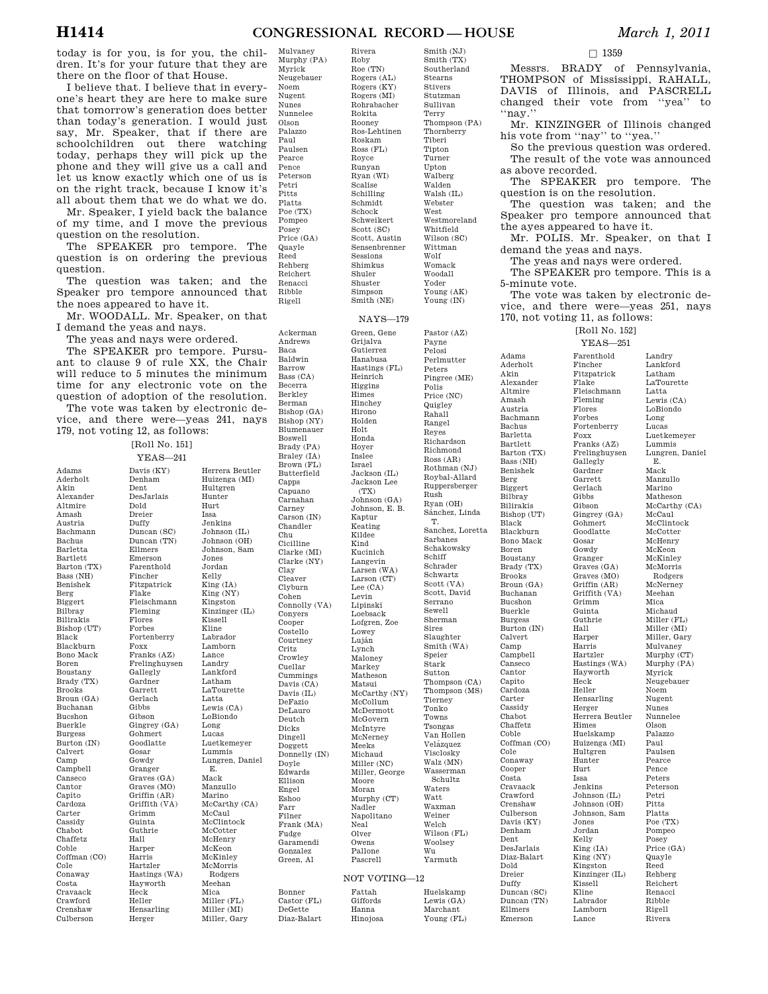today is for you, is for you, the children. It's for your future that they are there on the floor of that House.

I believe that. I believe that in everyone's heart they are here to make sure that tomorrow's generation does better than today's generation. I would just say, Mr. Speaker, that if there are schoolchildren out there watching today, perhaps they will pick up the phone and they will give us a call and let us know exactly which one of us is on the right track, because I know it's all about them that we do what we do.

Mr. Speaker, I yield back the balance of my time, and I move the previous question on the resolution.

The SPEAKER pro tempore. The question is on ordering the previous question.

The question was taken; and the Speaker pro tempore announced that the noes appeared to have it.

Mr. WOODALL. Mr. Speaker, on that I demand the yeas and nays.

The yeas and nays were ordered.

The SPEAKER pro tempore. Pursuant to clause 9 of rule XX, the Chair will reduce to 5 minutes the minimum time for any electronic vote on the question of adoption of the resolution.

The vote was taken by electronic device, and there were—yeas 241, nays 179, not voting 12, as follows:

Adams Aderholt Akin Alexander Altmire Amash Austria Bachmann Bachus Barletta Bartlett Barton (TX) Bass (NH) Benishek Berg Biggert Bilbray Bilirakis Bishop (UT) Black Blackburn Bono Mack Boren Boustany Brady (TX) Brooks Broun (GA) Buchanan Bucshon Buerkle Burgess Burton (IN) Calvert Camp Campbell Canseco Cantor Capito Cardoza Carter Cassidy Chabot Chaffetz Coble Coffman (CO) Cole Conaway Costa Cravaack Crawford Crenshaw Culberson

[Roll No. 151] YEAS—241 Davis (KY) Denham Dent DesJarlais Dold Dreier Duffy Duncan (SC) Duncan (TN) Ellmers Emerson Farenthold Fincher Fitzpatrick Flake Fleischmann Fleming Flores Forbes Fortenberry Foxx Franks (AZ) Frelinghuysen Gallegly Gardner Garrett Gerlach Gibbs Gibson Gingrey (GA) Gohmert Goodlatte Gosar Gowdy Granger Graves (GA) Graves (MO) Griffin (AR) Griffith (VA) Grimm Guinta Guthrie Hall Harper Harris Hartzler Hastings (WA) Hayworth Heck Heller Hensarling Herger Herrera Beutler Huizenga (MI) Hultgren Hunter Hurt Issa Jenkins Johnson (IL) Johnson (OH) Johnson, Sam Jones Jordan Kelly<br>King (IA) King (NY) Kingston Kinzinger (IL) Kissell Kline Labrador Lamborn Lance Landry Lankford Latham LaTourette Latta Lewis (CA) LoBiondo Long Lucas Luetkemeyer Lummis Lungren, Daniel E. Mack Manzullo Marino McCarthy (CA) McCaul McClintock **McCotter** McHenry McKeon McKinley McMorris Rodgers Meehan Mica Miller (FL) Miller (MI) Miller, Gary

Mulvaney Murphy (PA) Myrick Neugebauer Noem Nugent Nunes Nunnelee Olson Palazzo Paul Paulsen Pearce Pence Peterson Petri Pitts Platts Poe (TX) Pompeo Posey Price (GA) Quayle Reed Rehberg Reichert Renacci Ribble Rigell Rivera Roby  $Roe'$  (TN) Rokita Rooney Roskam Ross (FL) Royce Runyan Ryan (WI) Scalise Schilling Schmidt Schock Sessions Shimkus Shuler Shuster Simpson NAYS—179 Ackerman Andrews Baca Baldwin Barrow Bass (CA) Becerra Berkley Berman Bishop (GA) Bishop (NY) Blumenauer Boswell Brady (PA) Braley (IA) Brown (FL) Butterfield Capps Capuano Carnahan Carney Carson (IN) Chandler Chu Cicilline Clarke (MI) Clarke (NY) Clay Cleaver Clyburn Cohen Connolly (VA) Conyers Cooper Costello Courtney Critz Crowley Cuellar Cummings Davis (CA) Davis (IL) DeFazio DeLauro Deutch Dicks Dingell Doggett Donnelly (IN) Doyle Edwards Ellison Engel Eshoo Farr Filner Frank (MA) Fudge Garamendi Gonzalez Green, Al Green, Gene Grijalva Gutierrez Hanabusa Hastings (FL) Heinrich Higgins Himes Hinchey Hirono Holden Holt Honda Hoyer Inslee Israel Jackson (IL) Jackson Lee (TX) Johnson (GA) Johnson, E. B. Kaptur Keating Kildee Kind Kucinich Langevin Larsen (WA) Larson (CT) Lee (CA) Levin Lipinski Loebsack Lofgren, Zoe Lowey Luján Lynch Maloney Markey Matheson Matsui McCarthy (NY) McCollum McDermott McGovern McIntyre McNerney Meeks Michaud Miller (NC) Miller, George Moore Moran Murphy (CT) Nadler<br>Napolitano Neal Olver Owens Pallone Pascrell NOT VOTING—12 Bonner Castor (FL) DeGette Diaz-Balart Fattah Giffords Hanna Hinojosa

Rogers (AL) Rogers (KY) Rogers (MI) Rohrabacher Ros-Lehtinen Schweikert Scott (SC) Scott, Austin Sensenbrenner Smith (NE) Smith (TX) Southerland Stearns Stivers Stutzman Sullivan Terry Thompson (PA) Thornberry Tiberi Tipton Turner Upton Walberg Walden

Smith (NJ)

 $Walsh$  (IL) Webster West Westmoreland Whitfield Wilson (SC) Wittman Wolf Womack Woodall Yoder Young (AK) Young (IN) Pastor (AZ) Payne Pelosi Perlmutter Peters Pingree (ME) Polis Price (NC) **Quigley** Rahall Rangel Reyes Richardson Richmond Ross (AR) Rothman (NJ) Roybal-Allard Ruppersberger Rush Ryan (OH) Sánchez, Linda T. Sanchez, Loretta Sarbanes Schakowsky Schiff Schrader Schwartz Scott (VA) Scott, David Serrano Sewell Sherman Sires Slaughter Smith (WA) Speier Stark Sutton Thompson (CA) Thompson (MS) Tierney Tonko Towns Tsongas Van Hollen Velázquez Visclosky Walz (MN) Wasserman Schultz Waters Watt Waxman Weiner Welch Wilson (FL) Woolsey Wu Yarmuth Huelskamp

Lewis (GA) Marchant Young (FL) Duffy

Ellmers Emerson

Adams Aderholt Akin Alexander Altmire Amash Austria Bachmann Bachus Barletta Bartlett Barton (TX) Bass (NH) Benishek Berg Biggert Bilbray Bilirakis Bishop (UT) Black Blackburn Bono Mack Boren Boustany Brady (TX) Brooks Broun (GA) Buchanan Bucshon Buerkle Burgess Burton (IN) Calvert Camp Campbell Canseco Cantor Capito Cardoza Carter Cassidy Chabot Chaffetz Coble Coffman (CO) Cole Conaway Cooper Costa Cravaack Crawford Crenshaw Culberson Davis (KY) Denham Dent DesJarlais Diaz-Balart Dold Dreier

 $\square$  1359

Messrs. BRADY of Pennsylvania, THOMPSON of Mississippi, RAHALL, DAVIS of Illinois, and PASCRELL changed their vote from ''yea'' to ''nay.''

Mr. KINZINGER of Illinois changed his vote from ''nay'' to ''yea.''

So the previous question was ordered. The result of the vote was announced as above recorded.

The SPEAKER pro tempore. The question is on the resolution.

The question was taken; and the Speaker pro tempore announced that the ayes appeared to have it.

Mr. POLIS. Mr. Speaker, on that I demand the yeas and nays.

The yeas and nays were ordered.

The SPEAKER pro tempore. This is a 5-minute vote.

The vote was taken by electronic device, and there were—yeas 251, nays 170, not voting 11, as follows:

[Roll No. 152] YEAS—251

Duncan (SC) Duncan (TN) Farenthold Fincher Fitzpatrick Flake Fleischmann Fleming Flores Forbes Fortenberry Foxx Franks (AZ) Frelinghuysen Gallegly Gardner Garrett Gerlach Gibbs Gibson Gingrey (GA) Gohmert Goodlatte Gosar Gowdy Granger Graves (GA) Graves (MO) Griffin (AR) Griffith (VA) Grimm Guinta Guthrie Hall Harper Harris Hartzler Hastings (WA) Hayworth Heck Heller Hensarling Herger Herrera Beutler Himes Huelskamp Huizenga (MI) Hultgren Hunter Hurt Issa Jenkins Johnson (IL) Johnson (OH) Johnson, Sam Jones Jordan Kelly King (IA) King (NY) Kingston Kinzinger (IL) Kissell Kline Labrador Lamborn Lance

Landry Lankford Latham LaTourette Latta Lewis (CA) LoBiondo Long Lucas Luetkemeyer Lummis Lungren, Daniel E. Mack Manzullo Marino Matheson McCarthy (CA) McCaul McClintock McCotter McHenry McKeon McKinley McMorris Rodgers McNerney Meehan Mica Michaud Miller (FL) Miller (MI) Miller, Gary Mulvaney Murphy (CT) Murphy (PA) Myrick Neugebauer Noem Nugent Nunes Nunnelee Olson Palazzo Paul Paulsen Pearce Pence Peters Peterson Petri Pitts Platts Poe (TX) Pompeo Posey Price (GA) Quayle Reed Rehberg Reichert Renacci Ribble

Rigell Rivera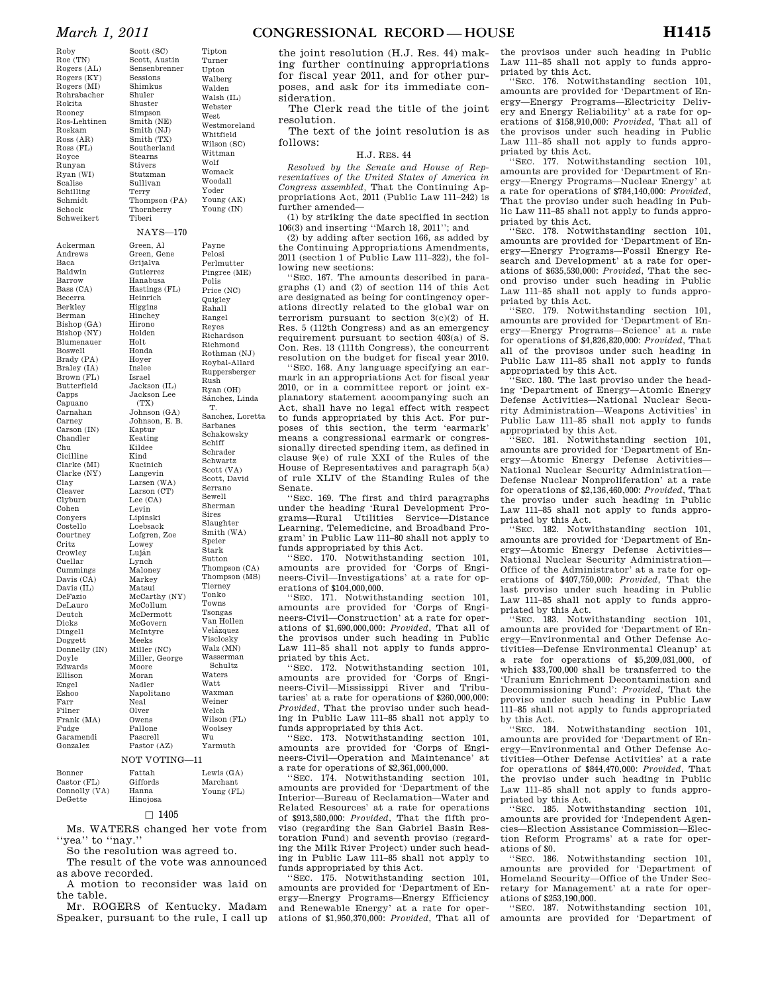Roby Roe (TN) Rogers (AL) Rogers (KY) Rogers (MI) Rohrabacher Rokita Rooney Ros-Lehtinen Roskam Ross (AR) Ross (FL) Royce Runyan Ryan (WI) Scalise Schilling Schmidt Schock Schweikert

Ackerman Andrews Baca Baldwin Barrow Bass (CA) Becerra Berkley Berman Bishop (GA) Bishop (NY) Blumenauer Boswell Brady (PA) Braley (IA) Brown (FL) Butterfield Capps Capuano Carnahan Carney Carson (IN) Chandler Chu Cicilline Clarke (MI) Clarke (NY) Clay Cleaver Clyburn Cohen Conyers Costello Courtney Critz Crowley Cuellar Cummings Davis (CA) Davis (IL) DeFazio DeLauro Deutch Dicks Dingell Doggett Donnelly (IN) Doyle Edwards Ellison Engel Eshoo Farr Filner

Scott (SC) Scott, Austin Sensenbrenner Sessions Shimkus Shuler Shuster Simpson Smith (NE) Smith (NJ) Smith (TX) Southerland Stearns Stivers Stutzman Sullivan Terry Thompson (PA) Thornberry Tiberi Tipton Turner Upton Walberg Walden Walsh (IL) Webster West Westmoreland Whitfield Wilson (SC) Wittman Wolf Womack Woodall Yoder Young (AK) Young (IN) NAYS—170 Green, Al Green, Gene Grijalva Gutierrez Hanabusa Hastings (FL) Heinrich Higgins Hinchey Hirono Holden Holt Honda Hoyer Inslee Israel Jackson (IL) Jackson Lee  $(TY)$ Johnson (GA) Johnson, E. B. Kaptur Keating Kildee Kind Kucinich Langevin Larsen  $(WA)$ Larson (CT) Lee (CA) Levin Lipinski Loebsack Lofgren, Zoe Lowey Luján Lynch Maloney Markey Matsui McCarthy (NY) McCollum McDermott McGovern McIntyre Meeks Miller (NC) Miller, George Moore Moran Nadler Napolitano Neal Payne Pelosi Perlmutter Pingree (ME) Polis Price (NC) **Quigley** Rahall Rangel Reyes Richardson Richmond Rothman (NJ) Roybal-Allard Ruppersberger Rush Ryan (OH) Sánchez, Linda T. Sanchez, Loretta Sarbanes Schakowsky Schiff Schrader Schwartz Scott (VA) Scott, David Serrano Sewell Sherman Sires Slaughter Smith (WA) Speier Stark Sutton Thompson (CA) Thompson (MS) Tierney Tonko Towns Tsongas Van Hollen Velázquez Visclosky Walz (MN) Wasserman Schultz Waters Watt Waxman Weiner

| Frank (MA)  | Owens         | Wilson (FL) |
|-------------|---------------|-------------|
| Fudge       | Pallone       | Woolsey     |
| Garamendi   | Pascrell      | Wu          |
| Gonzalez    | Pastor (AZ)   | Yarmuth     |
|             | NOT VOTING-11 |             |
| Bonner      | Fattah        | Lewis (GA)  |
| Castor (FL) | Giffords      | Marchant    |

Welch

Young (FL)

Olver

### Hinojosa  $\square$  1405

Ms. WATERS changed her vote from

Hanna

"yea" to "nay."

Connolly (VA) DeGette

So the resolution was agreed to.

The result of the vote was announced as above recorded.

A motion to reconsider was laid on the table.

Mr. ROGERS of Kentucky. Madam Speaker, pursuant to the rule, I call up

the joint resolution (H.J. Res. 44) making further continuing appropriations for fiscal year 2011, and for other purposes, and ask for its immediate consideration.

The Clerk read the title of the joint resolution.

The text of the joint resolution is as follows:

H.J. RES. 44

*Resolved by the Senate and House of Representatives of the United States of America in Congress assembled,* That the Continuing Appropriations Act, 2011 (Public Law 111–242) is further amended—

(1) by striking the date specified in section 106(3) and inserting ''March 18, 2011''; and

(2) by adding after section 166, as added by the Continuing Appropriations Amendments, 2011 (section 1 of Public Law 111–322), the following new sections:

''SEC. 167. The amounts described in paragraphs (1) and (2) of section 114 of this Act are designated as being for contingency operations directly related to the global war on terrorism pursuant to section 3(c)(2) of H. Res. 5 (112th Congress) and as an emergency requirement pursuant to section 403(a) of S. Con. Res. 13 (111th Congress), the concurrent resolution on the budget for fiscal year 2010.

''SEC. 168. Any language specifying an earmark in an appropriations Act for fiscal year 2010, or in a committee report or joint explanatory statement accompanying such an Act, shall have no legal effect with respect to funds appropriated by this Act. For purposes of this section, the term 'earmark' means a congressional earmark or congressionally directed spending item, as defined in clause 9(e) of rule XXI of the Rules of the House of Representatives and paragraph 5(a) of rule XLIV of the Standing Rules of the Senate.

'SEC. 169. The first and third paragraphs under the heading 'Rural Development Programs—Rural Utilities Service—Distance Learning, Telemedicine, and Broadband Program' in Public Law 111–80 shall not apply to funds appropriated by this Act.

'SEC. 170. Notwithstanding section 101, amounts are provided for 'Corps of Engineers-Civil—Investigations' at a rate for operations of \$104,000,000.

''SEC. 171. Notwithstanding section 101, amounts are provided for 'Corps of Engineers-Civil—Construction' at a rate for operations of \$1,690,000,000: *Provided*, That all of the provisos under such heading in Public Law 111–85 shall not apply to funds appropriated by this Act.

''SEC. 172. Notwithstanding section 101, amounts are provided for 'Corps of Engineers-Civil—Mississippi River and Tributaries' at a rate for operations of \$260,000,000: *Provided*, That the proviso under such heading in Public Law 111–85 shall not apply to funds appropriated by this Act.

''SEC. 173. Notwithstanding section 101, amounts are provided for 'Corps of Engineers-Civil—Operation and Maintenance' at a rate for operations of \$2,361,000,000.

''SEC. 174. Notwithstanding section 101, amounts are provided for 'Department of the Interior—Bureau of Reclamation—Water and Related Resources' at a rate for operations of \$913,580,000: *Provided*, That the fifth proviso (regarding the San Gabriel Basin Restoration Fund) and seventh proviso (regarding the Milk River Project) under such heading in Public Law 111–85 shall not apply to funds appropriated by this Act.

''SEC. 175. Notwithstanding section 101, amounts are provided for 'Department of Energy—Energy Programs—Energy Efficiency and Renewable Energy' at a rate for operations of \$1,950,370,000: *Provided*, That all of

the provisos under such heading in Public Law 111–85 shall not apply to funds appropriated by this Act.

''SEC. 176. Notwithstanding section 101, amounts are provided for 'Department of Energy—Energy Programs—Electricity Delivery and Energy Reliability' at a rate for operations of \$158,910,000: *Provided*, That all of the provisos under such heading in Public Law 111–85 shall not apply to funds appropriated by this Act.

''SEC. 177. Notwithstanding section 101, amounts are provided for 'Department of Energy—Energy Programs—Nuclear Energy' at a rate for operations of \$784,140,000: *Provided*, That the proviso under such heading in Public Law 111–85 shall not apply to funds appropriated by this Act.

''SEC. 178. Notwithstanding section 101, amounts are provided for 'Department of Energy—Energy Programs—Fossil Energy Research and Development' at a rate for operations of \$635,530,000: *Provided*, That the second proviso under such heading in Public Law 111–85 shall not apply to funds appropriated by this Act.

''SEC. 179. Notwithstanding section 101, amounts are provided for 'Department of Energy—Energy Programs—Science' at a rate for operations of \$4,826,820,000: *Provided*, That all of the provisos under such heading in Public Law 111–85 shall not apply to funds appropriated by this Act.

''SEC. 180. The last proviso under the heading 'Department of Energy—Atomic Energy Defense Activities—National Nuclear Security Administration—Weapons Activities' in Public Law 111–85 shall not apply to funds appropriated by this Act.

SEC. 181. Notwithstanding section 101, amounts are provided for 'Department of Energy—Atomic Energy Defense Activities— National Nuclear Security Administration— Defense Nuclear Nonproliferation' at a rate for operations of \$2,136,460,000: *Provided*, That the proviso under such heading in Public Law 111–85 shall not apply to funds appropriated by this Act.

''SEC. 182. Notwithstanding section 101, amounts are provided for 'Department of Energy—Atomic Energy Defense Activities— National Nuclear Security Administration— Office of the Administrator' at a rate for operations of \$407,750,000: *Provided*, That the last proviso under such heading in Public Law 111–85 shall not apply to funds appropriated by this Act.

''SEC. 183. Notwithstanding section 101, amounts are provided for 'Department of Energy—Environmental and Other Defense Activities—Defense Environmental Cleanup' at a rate for operations of \$5,209,031,000, of which \$33,700,000 shall be transferred to the 'Uranium Enrichment Decontamination and Decommissioning Fund': *Provided*, That the proviso under such heading in Public Law 111–85 shall not apply to funds appropriated by this Act.

''SEC. 184. Notwithstanding section 101, amounts are provided for 'Department of Energy—Environmental and Other Defense Activities—Other Defense Activities' at a rate for operations of \$844,470,000: *Provided*, That the proviso under such heading in Public Law 111–85 shall not apply to funds appropriated by this Act.

'SEC. 185. Notwithstanding section 101, amounts are provided for 'Independent Agencies—Election Assistance Commission—Election Reform Programs' at a rate for operations of \$0.

''SEC. 186. Notwithstanding section 101, amounts are provided for 'Department of Homeland Security—Office of the Under Secretary for Management' at a rate for operations of \$253,190,000.

''SEC. 187. Notwithstanding section 101, amounts are provided for 'Department of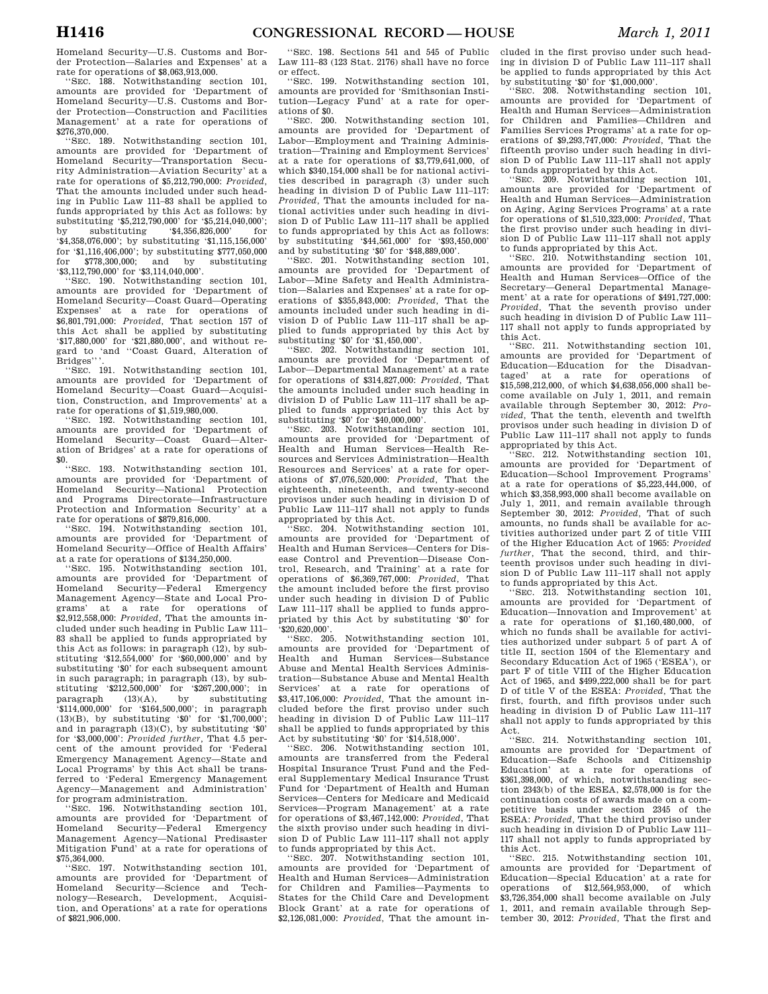Homeland Security—U.S. Customs and Border Protection—Salaries and Expenses' at a rate for operations of \$8,063,913,000.

''SEC. 188. Notwithstanding section 101, amounts are provided for 'Department of Homeland Security—U.S. Customs and Border Protection—Construction and Facilities Management' at a rate for operations of \$276,370,000.

''SEC. 189. Notwithstanding section 101, amounts are provided for 'Department of Homeland Security—Transportation Security Administration—Aviation Security' at a rate for operations of \$5,212,790,000: *Provided,*  That the amounts included under such heading in Public Law 111–83 shall be applied to funds appropriated by this Act as follows: by substituting '\$5,212,790,000' for '\$5,214,040,000';<br>by substituting '\$4,356,826,000' for by substituting '\$4,356,826,000' for '\$4,358,076,000'; by substituting '\$1,115,156,000' for '\$1,116,406,000'; by substituting \$777,050,000 for \$778,300,000; and by substituting '\$3,112,790,000' for '\$3,114,040,000'.

''SEC. 190. Notwithstanding section 101, amounts are provided for 'Department of Homeland Security—Coast Guard—Operating Expenses' at a rate for operations of \$6,801,791,000: *Provided,* That section 157 of this Act shall be applied by substituting '\$17,880,000' for '\$21,880,000', and without regard to 'and ''Coast Guard, Alteration of Bridges".

''SEC. 191. Notwithstanding section 101, amounts are provided for 'Department of Homeland Security—Coast Guard—Acquisition, Construction, and Improvements' at a rate for operations of \$1,519,980,000.

''SEC. 192. Notwithstanding section 101, amounts are provided for 'Department of Homeland Security—Coast Guard—Alteration of Bridges' at a rate for operations of \$0. ''SEC. 193. Notwithstanding section 101,

amounts are provided for 'Department of Homeland Security—National Protection and Programs Directorate—Infrastructure Protection and Information Security' at a rate for operations of \$879,816,000.

''SEC. 194. Notwithstanding section 101, amounts are provided for 'Department of Homeland Security—Office of Health Affairs' at a rate for operations of \$134,250,000.

''SEC. 195. Notwithstanding section 101, amounts are provided for 'Department of Homeland Security—Federal Emergency Management Agency—State and Local Programs' at a rate for operations of \$2,912,558,000: *Provided,* That the amounts included under such heading in Public Law 111– 83 shall be applied to funds appropriated by this Act as follows: in paragraph (12), by substituting '\$12,554,000' for '\$60,000,000' and by substituting '\$0' for each subsequent amount in such paragraph; in paragraph (13), by substituting '\$212,500,000' for '\$267,200,000'; in paragraph (13)(A), by substituting '\$114,000,000' for '\$164,500,000'; in paragraph  $(13)(B)$ , by substituting '\$0' for '\$1,700,000'; and in paragraph  $(13)(C)$ , by substituting '\$0' for '\$3,000,000': *Provided further,* That 4.5 percent of the amount provided for 'Federal Emergency Management Agency—State and Local Programs' by this Act shall be transferred to 'Federal Emergency Management Agency—Management and Administration' for program administration.

SEC. 196. Notwithstanding section 101, amounts are provided for 'Department of Homeland Security-Federal Management Agency—National Predisaster Mitigation Fund' at a rate for operations of \$75,364,000.

''SEC. 197. Notwithstanding section 101, amounts are provided for 'Department of Homeland Security-Science and nology—Research, Development, Acquisition, and Operations' at a rate for operations of \$821,906,000.

''SEC. 198. Sections 541 and 545 of Public Law 111–83 (123 Stat. 2176) shall have no force or effect.

''SEC. 199. Notwithstanding section 101, amounts are provided for 'Smithsonian Institution—Legacy Fund' at a rate for operations of \$0.

''SEC. 200. Notwithstanding section 101, amounts are provided for 'Department of Labor—Employment and Training Administration—Training and Employment Services' at a rate for operations of \$3,779,641,000, of which \$340,154,000 shall be for national activities described in paragraph (3) under such heading in division D of Public Law 111–117: *Provided,* That the amounts included for national activities under such heading in division D of Public Law 111–117 shall be applied to funds appropriated by this Act as follows: by substituting '\$44,561,000' for '\$93,450,000' and by substituting '\$0' for '\$48,889,000'.

''SEC. 201. Notwithstanding section 101, amounts are provided for 'Department of Labor—Mine Safety and Health Administration—Salaries and Expenses' at a rate for operations of \$355,843,000: *Provided,* That the amounts included under such heading in division D of Public Law 111–117 shall be applied to funds appropriated by this Act by substituting '\$0' for '\$1,450,000'.

''SEC. 202. Notwithstanding section 101, amounts are provided for 'Department of Labor—Departmental Management' at a rate for operations of \$314,827,000: *Provided,* That the amounts included under such heading in division D of Public Law 111–117 shall be applied to funds appropriated by this Act by

substituting '\$0' for '\$40,000,000'. ''SEC. 203. Notwithstanding section 101, amounts are provided for 'Department of Health and Human Services—Health Resources and Services Administration—Health Resources and Services' at a rate for operations of \$7,076,520,000: *Provided,* That the eighteenth, nineteenth, and twenty-second provisos under such heading in division D of Public Law 111–117 shall not apply to funds appropriated by this Act.

''SEC. 204. Notwithstanding section 101, amounts are provided for 'Department of Health and Human Services—Centers for Disease Control and Prevention—Disease Control, Research, and Training' at a rate for operations of \$6,369,767,000: *Provided,* That the amount included before the first proviso under such heading in division D of Public Law 111–117 shall be applied to funds appropriated by this Act by substituting '\$0' for '\$20,620,000'.

''SEC. 205. Notwithstanding section 101, amounts are provided for 'Department of Health and Human Services—Substance Abuse and Mental Health Services Administration—Substance Abuse and Mental Health Services' at a rate for operations of \$3,417,106,000: *Provided,* That the amount included before the first proviso under such heading in division D of Public Law 111–117 shall be applied to funds appropriated by this Act by substituting '\$0' for '\$14,518,000'.

''SEC. 206. Notwithstanding section 101, amounts are transferred from the Federal Hospital Insurance Trust Fund and the Federal Supplementary Medical Insurance Trust Fund for 'Department of Health and Human Services—Centers for Medicare and Medicaid Services—Program Management' at a rate for operations of \$3,467,142,000: *Provided,* That the sixth proviso under such heading in division D of Public Law 111–117 shall not apply to funds appropriated by this Act.

''SEC. 207. Notwithstanding section 101, amounts are provided for 'Department of Health and Human Services—Administration for Children and Families—Payments to States for the Child Care and Development Block Grant' at a rate for operations of \$2,126,081,000: *Provided,* That the amount in-

cluded in the first proviso under such heading in division D of Public Law 111–117 shall be applied to funds appropriated by this Act by substituting '\$0' for '\$1,000,000'. ''SEC. 208. Notwithstanding section 101,

amounts are provided for 'Department of Health and Human Services—Administration for Children and Families—Children and Families Services Programs' at a rate for operations of \$9,293,747,000: *Provided,* That the fifteenth proviso under such heading in division D of Public Law 111–117 shall not apply to funds appropriated by this Act.

'SEC. 209. Notwithstanding section 101, amounts are provided for 'Department of Health and Human Services—Administration on Aging, Aging Services Programs' at a rate for operations of \$1,510,323,000: *Provided,* That the first proviso under such heading in division D of Public Law 111–117 shall not apply to funds appropriated by this Act.

''SEC. 210. Notwithstanding section 101, amounts are provided for 'Department of Health and Human Services—Office of the Secretary—General Departmental Management' at a rate for operations of \$491,727,000: *Provided,* That the seventh proviso under such heading in division D of Public Law 111– 117 shall not apply to funds appropriated by

this Act. ''SEC. 211. Notwithstanding section 101, amounts are provided for 'Department of Education—Education for the Disadvantaged' at a rate for operations of \$15,598,212,000, of which \$4,638,056,000 shall become available on July 1, 2011, and remain available through September 30, 2012: *Provided,* That the tenth, eleventh and twelfth provisos under such heading in division D of Public Law 111–117 shall not apply to funds appropriated by this Act.

SEC. 212. Notwithstanding section 101, amounts are provided for 'Department of Education—School Improvement Programs' at a rate for operations of \$5,223,444,000, of which \$3,358,993,000 shall become available on July 1, 2011, and remain available through September 30, 2012: *Provided,* That of such amounts, no funds shall be available for activities authorized under part Z of title VIII of the Higher Education Act of 1965: *Provided further,* That the second, third, and thirteenth provisos under such heading in division D of Public Law 111–117 shall not apply to funds appropriated by this Act.

''SEC. 213. Notwithstanding section 101, amounts are provided for 'Department of Education—Innovation and Improvement' at a rate for operations of \$1,160,480,000, of which no funds shall be available for activities authorized under subpart 5 of part A of title II, section 1504 of the Elementary and Secondary Education Act of 1965 ('ESEA'), or part F of title VIII of the Higher Education Act of 1965, and \$499,222,000 shall be for part D of title V of the ESEA: *Provided,* That the first, fourth, and fifth provisos under such heading in division D of Public Law 111–117 shall not apply to funds appropriated by this

Act. ''SEC. 214. Notwithstanding section 101, amounts are provided for 'Department of Education—Safe Schools and Citizenship Education' at a rate for operations of \$361,398,000, of which, notwithstanding section 2343(b) of the ESEA, \$2,578,000 is for the continuation costs of awards made on a competitive basis under section 2345 of the ESEA: *Provided,* That the third proviso under such heading in division D of Public Law 111– 117 shall not apply to funds appropriated by this Act.

''SEC. 215. Notwithstanding section 101, amounts are provided for 'Department of Education—Special Education' at a rate for of  $$12,564,953,000$ , \$3,726,354,000 shall become available on July 1, 2011, and remain available through September 30, 2012: *Provided,* That the first and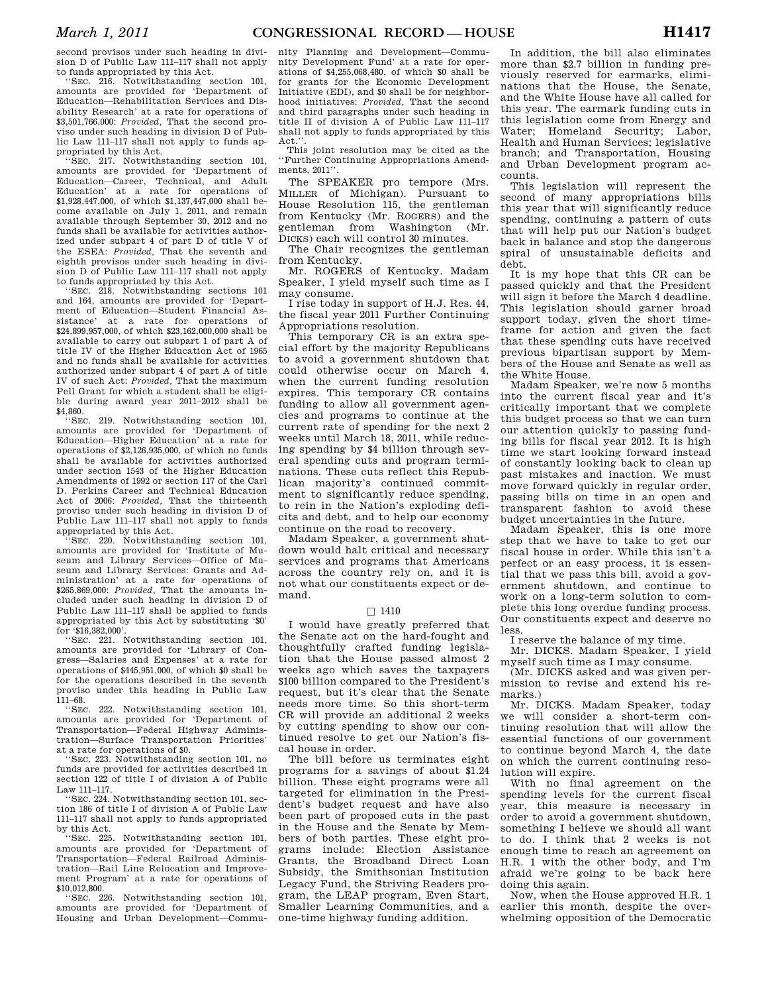second provisos under such heading in division D of Public Law 111–117 shall not apply to funds appropriated by this Act.

''SEC. 216. Notwithstanding section 101, amounts are provided for 'Department of Education—Rehabilitation Services and Disability Research' at a rate for operations of \$3,501,766,000: *Provided,* That the second proviso under such heading in division D of Public Law 111–117 shall not apply to funds appropriated by this Act.

'SEC. 217. Notwithstanding section 101. amounts are provided for 'Department of Education—Career, Technical, and Adult Education' at a rate for operations of \$1,928,447,000, of which \$1,137,447,000 shall become available on July 1, 2011, and remain available through September 30, 2012 and no funds shall be available for activities authorized under subpart 4 of part D of title V of the ESEA: *Provided,* That the seventh and eighth provisos under such heading in division D of Public Law 111–117 shall not apply to funds appropriated by this Act.

''SEC. 218. Notwithstanding sections 101 and 164, amounts are provided for 'Department of Education—Student Financial Assistance' at a rate for operations of \$24,899,957,000, of which \$23,162,000,000 shall be available to carry out subpart 1 of part A of title IV of the Higher Education Act of 1965 and no funds shall be available for activities authorized under subpart 4 of part A of title IV of such Act: *Provided,* That the maximum Pell Grant for which a student shall be eligible during award year 2011–2012 shall be \$4,860.

''SEC. 219. Notwithstanding section 101, amounts are provided for 'Department of Education—Higher Education' at a rate for operations of \$2,126,935,000, of which no funds shall be available for activities authorized under section 1543 of the Higher Education Amendments of 1992 or section 117 of the Carl D. Perkins Career and Technical Education Act of 2006: *Provided,* That the thirteenth proviso under such heading in division D of Public Law 111–117 shall not apply to funds appropriated by this Act.

SEC. 220. Notwithstanding section 101, amounts are provided for 'Institute of Museum and Library Services—Office of Museum and Library Services: Grants and Administration' at a rate for operations of \$265,869,000: *Provided,* That the amounts included under such heading in division D of Public Law 111–117 shall be applied to funds appropriated by this Act by substituting '\$0' for '\$16,382,000'.

''SEC. 221. Notwithstanding section 101, amounts are provided for 'Library of Congress—Salaries and Expenses' at a rate for operations of \$445,951,000, of which \$0 shall be for the operations described in the seventh proviso under this heading in Public Law 111–68.

''SEC. 222. Notwithstanding section 101, amounts are provided for 'Department of Transportation—Federal Highway Administration—Surface Transportation Priorities' at a rate for operations of \$0.

SEC. 223. Notwithstanding section 101, no funds are provided for activities described in section 122 of title I of division A of Public Law 111–117.

''SEC. 224. Notwithstanding section 101, section 186 of title I of division A of Public Law 111–117 shall not apply to funds appropriated by this Act.

''SEC. 225. Notwithstanding section 101, amounts are provided for 'Department of Transportation—Federal Railroad Administration—Rail Line Relocation and Improvement Program' at a rate for operations of  $$10,012,800.$ <br>"SEC. 226.

Notwithstanding section 101, amounts are provided for 'Department of Housing and Urban Development—Commu-

nity Planning and Development—Community Development Fund' at a rate for operations of \$4,255,068,480, of which \$0 shall be for grants for the Economic Development Initiative (EDI), and \$0 shall be for neighborhood initiatives: *Provided,* That the second and third paragraphs under such heading in title II of division A of Public Law 111–117 shall not apply to funds appropriated by this Act.

This joint resolution may be cited as the ''Further Continuing Appropriations Amendments, 2011''.

The SPEAKER pro tempore (Mrs. MILLER of Michigan). Pursuant to House Resolution 115, the gentleman from Kentucky (Mr. ROGERS) and the gentleman from Washington (Mr. DICKS) each will control 30 minutes.

The Chair recognizes the gentleman from Kentucky.

Mr. ROGERS of Kentucky. Madam Speaker, I yield myself such time as I may consume.

I rise today in support of H.J. Res. 44, the fiscal year 2011 Further Continuing Appropriations resolution.

This temporary CR is an extra special effort by the majority Republicans to avoid a government shutdown that could otherwise occur on March 4, when the current funding resolution expires. This temporary CR contains funding to allow all government agencies and programs to continue at the current rate of spending for the next 2 weeks until March 18, 2011, while reducing spending by \$4 billion through several spending cuts and program terminations. These cuts reflect this Republican majority's continued commitment to significantly reduce spending, to rein in the Nation's exploding deficits and debt, and to help our economy continue on the road to recovery.

Madam Speaker, a government shutdown would halt critical and necessary services and programs that Americans across the country rely on, and it is not what our constituents expect or demand.

#### $\Box$  1410

I would have greatly preferred that the Senate act on the hard-fought and thoughtfully crafted funding legislation that the House passed almost 2 weeks ago which saves the taxpayers \$100 billion compared to the President's request, but it's clear that the Senate needs more time. So this short-term CR will provide an additional 2 weeks by cutting spending to show our continued resolve to get our Nation's fiscal house in order.

The bill before us terminates eight programs for a savings of about \$1.24 billion. These eight programs were all targeted for elimination in the President's budget request and have also been part of proposed cuts in the past in the House and the Senate by Members of both parties. These eight programs include: Election Assistance Grants, the Broadband Direct Loan Subsidy, the Smithsonian Institution Legacy Fund, the Striving Readers program, the LEAP program, Even Start, Smaller Learning Communities, and a one-time highway funding addition.

In addition, the bill also eliminates more than \$2.7 billion in funding previously reserved for earmarks, eliminations that the House, the Senate, and the White House have all called for this year. The earmark funding cuts in this legislation come from Energy and Water; Homeland Security; Labor, Health and Human Services; legislative branch; and Transportation, Housing and Urban Development program accounts.

This legislation will represent the second of many appropriations bills this year that will significantly reduce spending, continuing a pattern of cuts that will help put our Nation's budget back in balance and stop the dangerous spiral of unsustainable deficits and debt.

It is my hope that this CR can be passed quickly and that the President will sign it before the March 4 deadline. This legislation should garner broad support today, given the short timeframe for action and given the fact that these spending cuts have received previous bipartisan support by Members of the House and Senate as well as the White House.

Madam Speaker, we're now 5 months into the current fiscal year and it's critically important that we complete this budget process so that we can turn our attention quickly to passing funding bills for fiscal year 2012. It is high time we start looking forward instead of constantly looking back to clean up past mistakes and inaction. We must move forward quickly in regular order, passing bills on time in an open and transparent fashion to avoid these budget uncertainties in the future.

Madam Speaker, this is one more step that we have to take to get our fiscal house in order. While this isn't a perfect or an easy process, it is essential that we pass this bill, avoid a government shutdown, and continue to work on a long-term solution to complete this long overdue funding process. Our constituents expect and deserve no less.

I reserve the balance of my time.

Mr. DICKS. Madam Speaker, I yield myself such time as I may consume.

(Mr. DICKS asked and was given permission to revise and extend his remarks.)

Mr. DICKS. Madam Speaker, today we will consider a short-term continuing resolution that will allow the essential functions of our government to continue beyond March 4, the date on which the current continuing resolution will expire.

With no final agreement on the spending levels for the current fiscal year, this measure is necessary in order to avoid a government shutdown, something I believe we should all want to do. I think that 2 weeks is not enough time to reach an agreement on H.R. 1 with the other body, and I'm afraid we're going to be back here doing this again.

Now, when the House approved H.R. 1 earlier this month, despite the overwhelming opposition of the Democratic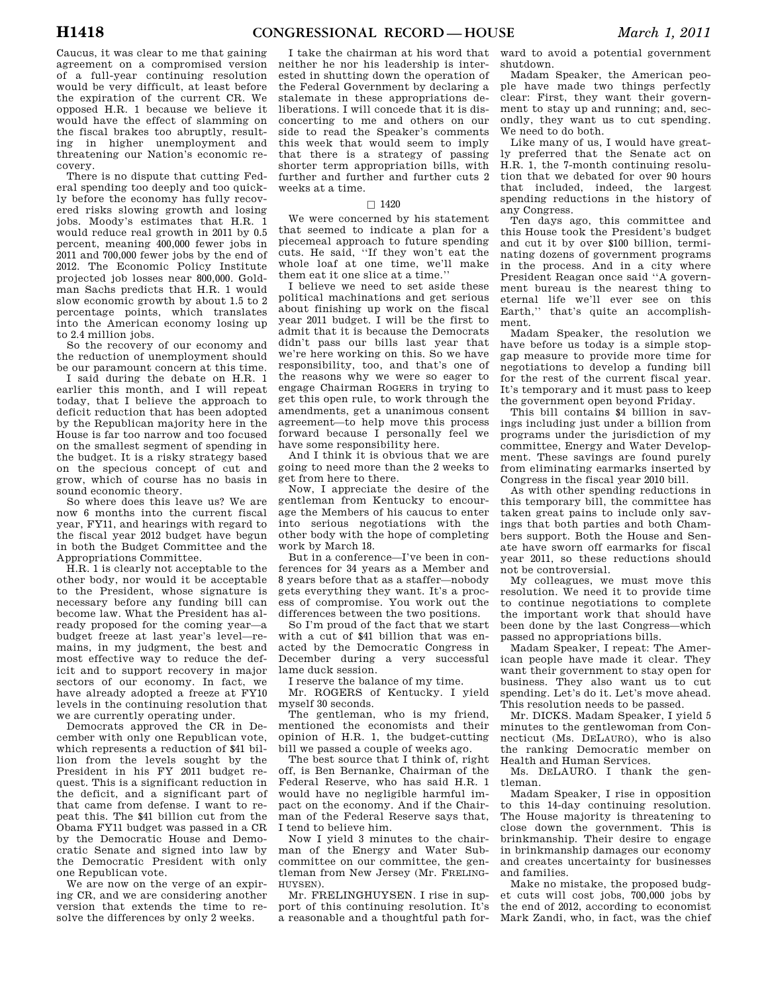Caucus, it was clear to me that gaining agreement on a compromised version of a full-year continuing resolution would be very difficult, at least before the expiration of the current CR. We opposed H.R. 1 because we believe it would have the effect of slamming on the fiscal brakes too abruptly, resulting in higher unemployment and threatening our Nation's economic recovery.

There is no dispute that cutting Federal spending too deeply and too quickly before the economy has fully recovered risks slowing growth and losing jobs. Moody's estimates that H.R. 1 would reduce real growth in 2011 by 0.5 percent, meaning 400,000 fewer jobs in 2011 and 700,000 fewer jobs by the end of 2012. The Economic Policy Institute projected job losses near 800,000. Goldman Sachs predicts that H.R. 1 would slow economic growth by about 1.5 to 2 percentage points, which translates into the American economy losing up to 2.4 million jobs.

So the recovery of our economy and the reduction of unemployment should be our paramount concern at this time.

I said during the debate on H.R. 1 earlier this month, and I will repeat today, that I believe the approach to deficit reduction that has been adopted by the Republican majority here in the House is far too narrow and too focused on the smallest segment of spending in the budget. It is a risky strategy based on the specious concept of cut and grow, which of course has no basis in sound economic theory.

So where does this leave us? We are now 6 months into the current fiscal year, FY11, and hearings with regard to the fiscal year 2012 budget have begun in both the Budget Committee and the Appropriations Committee.

H.R. 1 is clearly not acceptable to the other body, nor would it be acceptable to the President, whose signature is necessary before any funding bill can become law. What the President has already proposed for the coming year—a budget freeze at last year's level—remains, in my judgment, the best and most effective way to reduce the deficit and to support recovery in major sectors of our economy. In fact, we have already adopted a freeze at FY10 levels in the continuing resolution that we are currently operating under.

Democrats approved the CR in December with only one Republican vote, which represents a reduction of \$41 billion from the levels sought by the President in his FY 2011 budget request. This is a significant reduction in the deficit, and a significant part of that came from defense. I want to repeat this. The \$41 billion cut from the Obama FY11 budget was passed in a CR by the Democratic House and Democratic Senate and signed into law by the Democratic President with only one Republican vote.

We are now on the verge of an expiring CR, and we are considering another version that extends the time to resolve the differences by only 2 weeks.

I take the chairman at his word that neither he nor his leadership is interested in shutting down the operation of the Federal Government by declaring a stalemate in these appropriations deliberations. I will concede that it is disconcerting to me and others on our side to read the Speaker's comments this week that would seem to imply that there is a strategy of passing shorter term appropriation bills, with further and further and further cuts 2 weeks at a time.

## $\Box$  1420

We were concerned by his statement that seemed to indicate a plan for a piecemeal approach to future spending cuts. He said, ''If they won't eat the whole loaf at one time, we'll make them eat it one slice at a time.''

I believe we need to set aside these political machinations and get serious about finishing up work on the fiscal year 2011 budget. I will be the first to admit that it is because the Democrats didn't pass our bills last year that we're here working on this. So we have responsibility, too, and that's one of the reasons why we were so eager to engage Chairman ROGERS in trying to get this open rule, to work through the amendments, get a unanimous consent agreement—to help move this process forward because I personally feel we have some responsibility here.

And I think it is obvious that we are going to need more than the 2 weeks to get from here to there.

Now, I appreciate the desire of the gentleman from Kentucky to encourage the Members of his caucus to enter into serious negotiations with the other body with the hope of completing work by March 18.

But in a conference—I've been in conferences for 34 years as a Member and 8 years before that as a staffer—nobody gets everything they want. It's a process of compromise. You work out the differences between the two positions.

So I'm proud of the fact that we start with a cut of \$41 billion that was enacted by the Democratic Congress in December during a very successful lame duck session.

I reserve the balance of my time.

Mr. ROGERS of Kentucky. I yield myself 30 seconds.

The gentleman, who is my friend, mentioned the economists and their opinion of H.R. 1, the budget-cutting bill we passed a couple of weeks ago.

The best source that I think of, right off, is Ben Bernanke, Chairman of the Federal Reserve, who has said H.R. 1 would have no negligible harmful impact on the economy. And if the Chairman of the Federal Reserve says that, I tend to believe him.

Now I yield 3 minutes to the chairman of the Energy and Water Subcommittee on our committee, the gentleman from New Jersey (Mr. FRELING-HUYSEN).

Mr. FRELINGHUYSEN. I rise in support of this continuing resolution. It's a reasonable and a thoughtful path for-

ward to avoid a potential government shutdown.

Madam Speaker, the American people have made two things perfectly clear: First, they want their government to stay up and running; and, secondly, they want us to cut spending. We need to do both.

Like many of us, I would have greatly preferred that the Senate act on H.R. 1, the 7-month continuing resolution that we debated for over 90 hours that included, indeed, the largest spending reductions in the history of any Congress.

Ten days ago, this committee and this House took the President's budget and cut it by over \$100 billion, terminating dozens of government programs in the process. And in a city where President Reagan once said ''A government bureau is the nearest thing to eternal life we'll ever see on this Earth,'' that's quite an accomplishment.

Madam Speaker, the resolution we have before us today is a simple stopgap measure to provide more time for negotiations to develop a funding bill for the rest of the current fiscal year. It's temporary and it must pass to keep the government open beyond Friday.

This bill contains \$4 billion in savings including just under a billion from programs under the jurisdiction of my committee, Energy and Water Development. These savings are found purely from eliminating earmarks inserted by Congress in the fiscal year 2010 bill.

As with other spending reductions in this temporary bill, the committee has taken great pains to include only savings that both parties and both Chambers support. Both the House and Senate have sworn off earmarks for fiscal year 2011, so these reductions should not be controversial.

My colleagues, we must move this resolution. We need it to provide time to continue negotiations to complete the important work that should have been done by the last Congress—which passed no appropriations bills.

Madam Speaker, I repeat: The American people have made it clear. They want their government to stay open for business. They also want us to cut spending. Let's do it. Let's move ahead. This resolution needs to be passed.

Mr. DICKS. Madam Speaker, I yield 5 minutes to the gentlewoman from Connecticut (Ms. DELAURO), who is also the ranking Democratic member on Health and Human Services.

Ms. DELAURO. I thank the gentleman.

Madam Speaker, I rise in opposition to this 14-day continuing resolution. The House majority is threatening to close down the government. This is brinkmanship. Their desire to engage in brinkmanship damages our economy and creates uncertainty for businesses and families.

Make no mistake, the proposed budget cuts will cost jobs, 700,000 jobs by the end of 2012, according to economist Mark Zandi, who, in fact, was the chief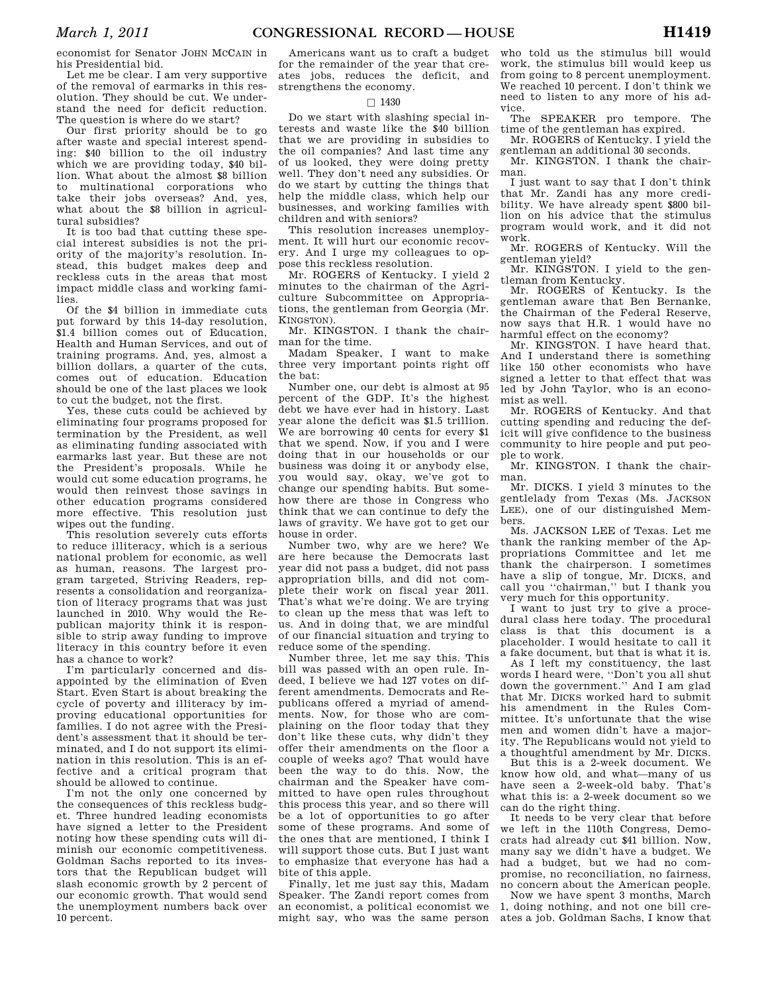economist for Senator JOHN MCCAIN in his Presidential bid.

Let me be clear. I am very supportive of the removal of earmarks in this resolution. They should be cut. We understand the need for deficit reduction. The question is where do we start?

Our first priority should be to go after waste and special interest spending: \$40 billion to the oil industry which we are providing today, \$40 billion. What about the almost \$8 billion to multinational corporations who take their jobs overseas? And, yes, what about the \$8 billion in agricultural subsidies?

It is too bad that cutting these special interest subsidies is not the priority of the majority's resolution. Instead, this budget makes deep and reckless cuts in the areas that most impact middle class and working families.

Of the \$4 billion in immediate cuts put forward by this 14-day resolution, \$1.4 billion comes out of Education, Health and Human Services, and out of training programs. And, yes, almost a billion dollars, a quarter of the cuts, comes out of education. Education should be one of the last places we look to cut the budget, not the first.

Yes, these cuts could be achieved by eliminating four programs proposed for termination by the President, as well as eliminating funding associated with earmarks last year. But these are not the President's proposals. While he would cut some education programs, he would then reinvest those savings in other education programs considered more effective. This resolution just wipes out the funding.

This resolution severely cuts efforts to reduce illiteracy, which is a serious national problem for economic, as well as human, reasons. The largest program targeted, Striving Readers, represents a consolidation and reorganization of literacy programs that was just launched in 2010. Why would the Republican majority think it is responsible to strip away funding to improve literacy in this country before it even has a chance to work?

I'm particularly concerned and disappointed by the elimination of Even Start. Even Start is about breaking the cycle of poverty and illiteracy by improving educational opportunities for families. I do not agree with the President's assessment that it should be terminated, and I do not support its elimination in this resolution. This is an effective and a critical program that should be allowed to continue.

I'm not the only one concerned by the consequences of this reckless budget. Three hundred leading economists have signed a letter to the President noting how these spending cuts will diminish our economic competitiveness. Goldman Sachs reported to its investors that the Republican budget will slash economic growth by 2 percent of our economic growth. That would send the unemployment numbers back over 10 percent.

Americans want us to craft a budget for the remainder of the year that creates jobs, reduces the deficit, and strengthens the economy.

### $\square$  1430

Do we start with slashing special interests and waste like the \$40 billion that we are providing in subsidies to the oil companies? And last time any of us looked, they were doing pretty well. They don't need any subsidies. Or do we start by cutting the things that help the middle class, which help our businesses, and working families with children and with seniors?

This resolution increases unemployment. It will hurt our economic recovery. And I urge my colleagues to oppose this reckless resolution.

Mr. ROGERS of Kentucky. I yield 2 minutes to the chairman of the Agriculture Subcommittee on Appropriations, the gentleman from Georgia (Mr. KINGSTON).

Mr. KINGSTON. I thank the chairman for the time.

Madam Speaker, I want to make three very important points right off the bat:

Number one, our debt is almost at 95 percent of the GDP. It's the highest debt we have ever had in history. Last year alone the deficit was \$1.5 trillion. We are borrowing 40 cents for every \$1 that we spend. Now, if you and I were doing that in our households or our business was doing it or anybody else, you would say, okay, we've got to change our spending habits. But somehow there are those in Congress who think that we can continue to defy the laws of gravity. We have got to get our house in order.

Number two, why are we here? We are here because the Democrats last year did not pass a budget, did not pass appropriation bills, and did not complete their work on fiscal year 2011. That's what we're doing. We are trying to clean up the mess that was left to us. And in doing that, we are mindful of our financial situation and trying to reduce some of the spending.

Number three, let me say this. This bill was passed with an open rule. Indeed, I believe we had 127 votes on different amendments. Democrats and Republicans offered a myriad of amendments. Now, for those who are complaining on the floor today that they don't like these cuts, why didn't they offer their amendments on the floor a couple of weeks ago? That would have been the way to do this. Now, the chairman and the Speaker have committed to have open rules throughout this process this year, and so there will be a lot of opportunities to go after some of these programs. And some of the ones that are mentioned, I think I will support those cuts. But I just want to emphasize that everyone has had a bite of this apple.

Finally, let me just say this, Madam Speaker. The Zandi report comes from an economist, a political economist we might say, who was the same person

who told us the stimulus bill would work, the stimulus bill would keep us from going to 8 percent unemployment. We reached 10 percent. I don't think we need to listen to any more of his advice.

The SPEAKER pro tempore. The time of the gentleman has expired.

Mr. ROGERS of Kentucky. I yield the gentleman an additional 30 seconds.

Mr. KINGSTON. I thank the chairman.

I just want to say that I don't think that Mr. Zandi has any more credibility. We have already spent \$800 billion on his advice that the stimulus program would work, and it did not work.

Mr. ROGERS of Kentucky. Will the gentleman yield?

Mr. KINGSTON. I yield to the gentleman from Kentucky.

Mr. ROGERS of Kentucky. Is the gentleman aware that Ben Bernanke, the Chairman of the Federal Reserve, now says that H.R. 1 would have no harmful effect on the economy?

Mr. KINGSTON. I have heard that. And I understand there is something like 150 other economists who have signed a letter to that effect that was led by John Taylor, who is an economist as well.

Mr. ROGERS of Kentucky. And that cutting spending and reducing the deficit will give confidence to the business community to hire people and put people to work.

Mr. KINGSTON. I thank the chairman.

Mr. DICKS. I yield 3 minutes to the gentlelady from Texas (Ms. JACKSON LEE), one of our distinguished Members.

Ms. JACKSON LEE of Texas. Let me thank the ranking member of the Appropriations Committee and let me thank the chairperson. I sometimes have a slip of tongue, Mr. DICKS, and call you ''chairman,'' but I thank you very much for this opportunity.

I want to just try to give a procedural class here today. The procedural class is that this document is a placeholder. I would hesitate to call it a fake document, but that is what it is.

As I left my constituency, the last words I heard were, ''Don't you all shut down the government.'' And I am glad that Mr. DICKS worked hard to submit his amendment in the Rules Committee. It's unfortunate that the wise men and women didn't have a majority. The Republicans would not yield to a thoughtful amendment by Mr. DICKS.

But this is a 2-week document. We know how old, and what—many of us have seen a 2-week-old baby. That's what this is: a 2-week document so we can do the right thing.

It needs to be very clear that before we left in the 110th Congress, Democrats had already cut \$41 billion. Now, many say we didn't have a budget. We had a budget, but we had no compromise, no reconciliation, no fairness, no concern about the American people.

Now we have spent 3 months, March 1, doing nothing, and not one bill creates a job. Goldman Sachs, I know that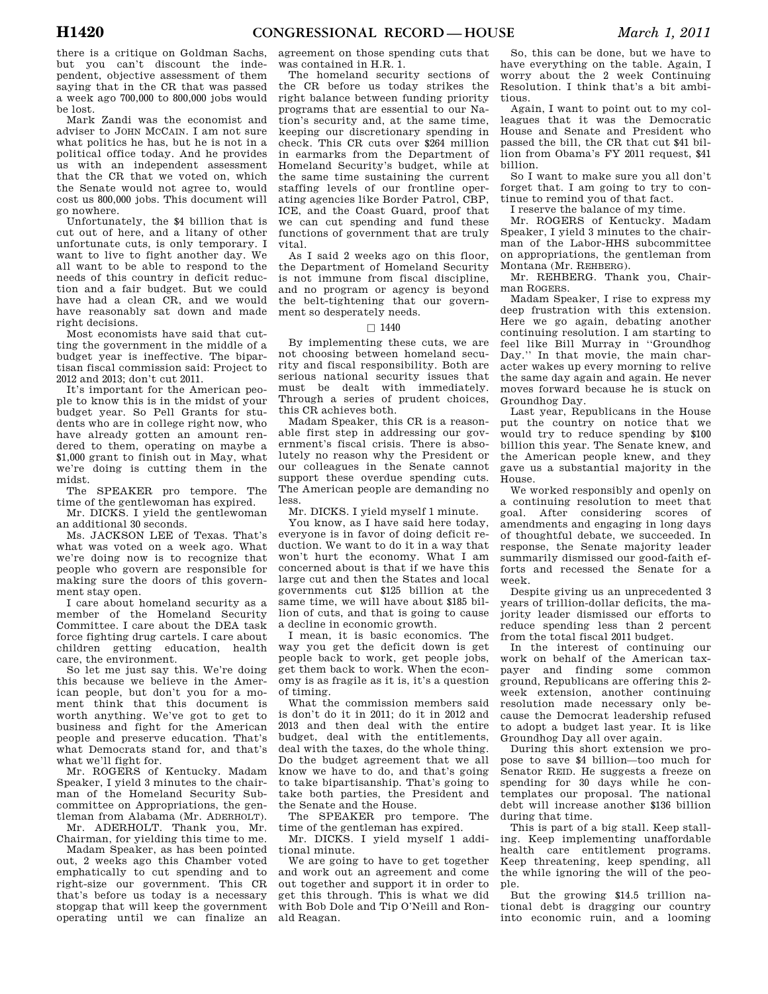there is a critique on Goldman Sachs, but you can't discount the independent, objective assessment of them saying that in the CR that was passed a week ago 700,000 to 800,000 jobs would be lost.

Mark Zandi was the economist and adviser to JOHN MCCAIN. I am not sure what politics he has, but he is not in a political office today. And he provides us with an independent assessment that the CR that we voted on, which the Senate would not agree to, would cost us 800,000 jobs. This document will go nowhere.

Unfortunately, the \$4 billion that is cut out of here, and a litany of other unfortunate cuts, is only temporary. I want to live to fight another day. We all want to be able to respond to the needs of this country in deficit reduction and a fair budget. But we could have had a clean CR, and we would have reasonably sat down and made right decisions.

Most economists have said that cutting the government in the middle of a budget year is ineffective. The bipartisan fiscal commission said: Project to 2012 and 2013; don't cut 2011.

It's important for the American people to know this is in the midst of your budget year. So Pell Grants for students who are in college right now, who have already gotten an amount rendered to them, operating on maybe a \$1,000 grant to finish out in May, what we're doing is cutting them in the midst.

The SPEAKER pro tempore. The time of the gentlewoman has expired.

Mr. DICKS. I yield the gentlewoman an additional 30 seconds.

Ms. JACKSON LEE of Texas. That's what was voted on a week ago. What we're doing now is to recognize that people who govern are responsible for making sure the doors of this government stay open.

I care about homeland security as a member of the Homeland Security Committee. I care about the DEA task force fighting drug cartels. I care about children getting education, health care, the environment.

So let me just say this. We're doing this because we believe in the American people, but don't you for a moment think that this document is worth anything. We've got to get to business and fight for the American people and preserve education. That's what Democrats stand for, and that's what we'll fight for.

Mr. ROGERS of Kentucky. Madam Speaker, I yield 3 minutes to the chairman of the Homeland Security Subcommittee on Appropriations, the gentleman from Alabama (Mr. ADERHOLT).

Mr. ADERHOLT. Thank you, Mr. Chairman, for yielding this time to me.

Madam Speaker, as has been pointed out, 2 weeks ago this Chamber voted emphatically to cut spending and to right-size our government. This CR that's before us today is a necessary stopgap that will keep the government operating until we can finalize an

agreement on those spending cuts that was contained in H.R. 1.

The homeland security sections of the CR before us today strikes the right balance between funding priority programs that are essential to our Nation's security and, at the same time, keeping our discretionary spending in check. This CR cuts over \$264 million in earmarks from the Department of Homeland Security's budget, while at the same time sustaining the current staffing levels of our frontline operating agencies like Border Patrol, CBP, ICE, and the Coast Guard, proof that we can cut spending and fund these functions of government that are truly vital.

As I said 2 weeks ago on this floor, the Department of Homeland Security is not immune from fiscal discipline, and no program or agency is beyond the belt-tightening that our government so desperately needs.

#### $\Box$  1440

By implementing these cuts, we are not choosing between homeland security and fiscal responsibility. Both are serious national security issues that must be dealt with immediately. Through a series of prudent choices, this CR achieves both.

Madam Speaker, this CR is a reasonable first step in addressing our government's fiscal crisis. There is absolutely no reason why the President or our colleagues in the Senate cannot support these overdue spending cuts. The American people are demanding no less.

Mr. DICKS. I yield myself 1 minute.

You know, as I have said here today, everyone is in favor of doing deficit reduction. We want to do it in a way that won't hurt the economy. What I am concerned about is that if we have this large cut and then the States and local governments cut \$125 billion at the same time, we will have about \$185 billion of cuts, and that is going to cause a decline in economic growth.

I mean, it is basic economics. The way you get the deficit down is get people back to work, get people jobs, get them back to work. When the economy is as fragile as it is, it's a question of timing.

What the commission members said is don't do it in 2011; do it in 2012 and 2013 and then deal with the entire budget, deal with the entitlements, deal with the taxes, do the whole thing. Do the budget agreement that we all know we have to do, and that's going to take bipartisanship. That's going to take both parties, the President and the Senate and the House.

The SPEAKER pro tempore. The time of the gentleman has expired.

Mr. DICKS. I yield myself 1 additional minute.

We are going to have to get together and work out an agreement and come out together and support it in order to get this through. This is what we did with Bob Dole and Tip O'Neill and Ronald Reagan.

So, this can be done, but we have to have everything on the table. Again, I worry about the 2 week Continuing Resolution. I think that's a bit ambitious.

Again, I want to point out to my colleagues that it was the Democratic House and Senate and President who passed the bill, the CR that cut \$41 billion from Obama's FY 2011 request, \$41 billion.

So I want to make sure you all don't forget that. I am going to try to continue to remind you of that fact.

I reserve the balance of my time.

Mr. ROGERS of Kentucky. Madam Speaker, I yield 3 minutes to the chairman of the Labor-HHS subcommittee on appropriations, the gentleman from Montana (Mr. REHBERG).

Mr. REHBERG. Thank you, Chairman ROGERS.

Madam Speaker, I rise to express my deep frustration with this extension. Here we go again, debating another continuing resolution. I am starting to feel like Bill Murray in ''Groundhog Day." In that movie, the main character wakes up every morning to relive the same day again and again. He never moves forward because he is stuck on Groundhog Day.

Last year, Republicans in the House put the country on notice that we would try to reduce spending by \$100 billion this year. The Senate knew, and the American people knew, and they gave us a substantial majority in the House.

We worked responsibly and openly on a continuing resolution to meet that goal. After considering scores of amendments and engaging in long days of thoughtful debate, we succeeded. In response, the Senate majority leader summarily dismissed our good-faith efforts and recessed the Senate for a week.

Despite giving us an unprecedented 3 years of trillion-dollar deficits, the majority leader dismissed our efforts to reduce spending less than 2 percent from the total fiscal 2011 budget.

In the interest of continuing our work on behalf of the American taxpayer and finding some common ground, Republicans are offering this 2 week extension, another continuing resolution made necessary only because the Democrat leadership refused to adopt a budget last year. It is like Groundhog Day all over again.

During this short extension we propose to save \$4 billion—too much for Senator REID. He suggests a freeze on spending for 30 days while he contemplates our proposal. The national debt will increase another \$136 billion during that time.

This is part of a big stall. Keep stalling. Keep implementing unaffordable health care entitlement programs. Keep threatening, keep spending, all the while ignoring the will of the people.

But the growing \$14.5 trillion national debt is dragging our country into economic ruin, and a looming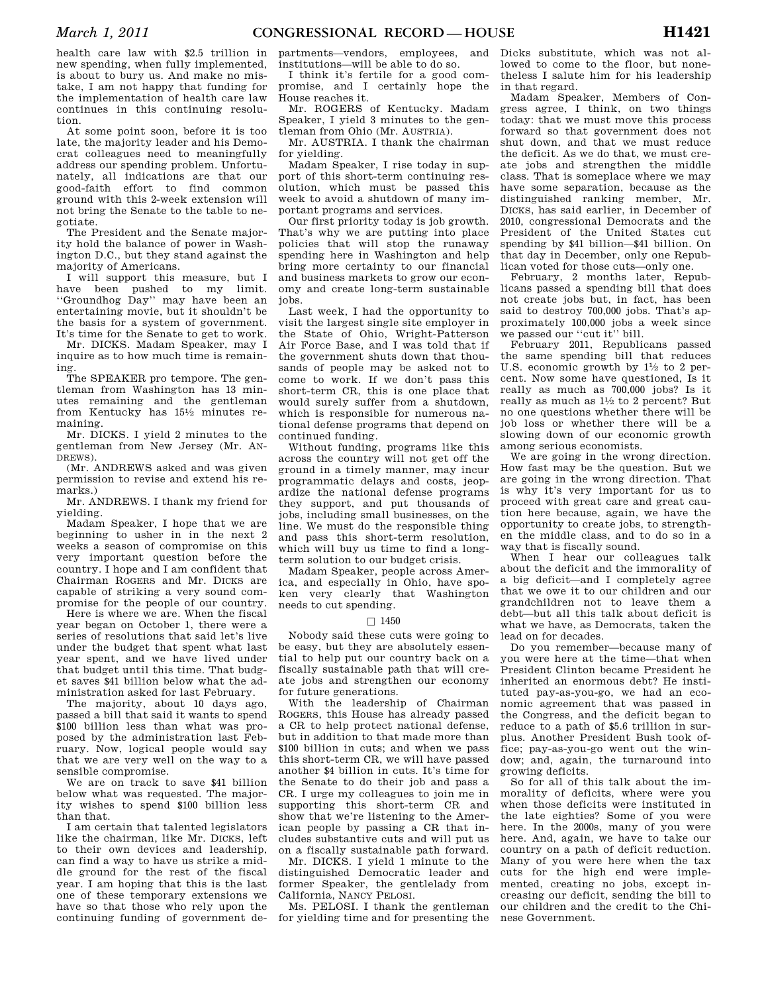health care law with \$2.5 trillion in new spending, when fully implemented, is about to bury us. And make no mistake, I am not happy that funding for the implementation of health care law continues in this continuing resolution.

At some point soon, before it is too late, the majority leader and his Democrat colleagues need to meaningfully address our spending problem. Unfortunately, all indications are that our good-faith effort to find common ground with this 2-week extension will not bring the Senate to the table to negotiate.

The President and the Senate majority hold the balance of power in Washington D.C., but they stand against the majority of Americans.

I will support this measure, but I have been pushed to my limit. ''Groundhog Day'' may have been an entertaining movie, but it shouldn't be the basis for a system of government. It's time for the Senate to get to work.

Mr. DICKS. Madam Speaker, may I inquire as to how much time is remaining.

The SPEAKER pro tempore. The gentleman from Washington has 13 minutes remaining and the gentleman from Kentucky has 151⁄2 minutes remaining.

Mr. DICKS. I yield 2 minutes to the gentleman from New Jersey (Mr. AN-DREWS).

(Mr. ANDREWS asked and was given permission to revise and extend his remarks.)

Mr. ANDREWS. I thank my friend for yielding.

Madam Speaker, I hope that we are beginning to usher in in the next 2 weeks a season of compromise on this very important question before the country. I hope and I am confident that Chairman ROGERS and Mr. DICKS are capable of striking a very sound compromise for the people of our country.

Here is where we are. When the fiscal year began on October 1, there were a series of resolutions that said let's live under the budget that spent what last year spent, and we have lived under that budget until this time. That budget saves \$41 billion below what the administration asked for last February.

The majority, about 10 days ago, passed a bill that said it wants to spend \$100 billion less than what was proposed by the administration last February. Now, logical people would say that we are very well on the way to a sensible compromise.

We are on track to save \$41 billion below what was requested. The majority wishes to spend \$100 billion less than that.

I am certain that talented legislators like the chairman, like Mr. DICKS, left to their own devices and leadership, can find a way to have us strike a middle ground for the rest of the fiscal year. I am hoping that this is the last one of these temporary extensions we have so that those who rely upon the continuing funding of government de-

partments—vendors, employees, and institutions—will be able to do so.

I think it's fertile for a good compromise, and I certainly hope the House reaches it.

Mr. ROGERS of Kentucky. Madam Speaker, I yield 3 minutes to the gentleman from Ohio (Mr. AUSTRIA).

Mr. AUSTRIA. I thank the chairman for yielding.

Madam Speaker, I rise today in support of this short-term continuing resolution, which must be passed this week to avoid a shutdown of many important programs and services.

Our first priority today is job growth. That's why we are putting into place policies that will stop the runaway spending here in Washington and help bring more certainty to our financial and business markets to grow our economy and create long-term sustainable jobs.

Last week, I had the opportunity to visit the largest single site employer in the State of Ohio, Wright-Patterson Air Force Base, and I was told that if the government shuts down that thousands of people may be asked not to come to work. If we don't pass this short-term CR, this is one place that would surely suffer from a shutdown, which is responsible for numerous national defense programs that depend on continued funding.

Without funding, programs like this across the country will not get off the ground in a timely manner, may incur programmatic delays and costs, jeopardize the national defense programs they support, and put thousands of jobs, including small businesses, on the line. We must do the responsible thing and pass this short-term resolution, which will buy us time to find a longterm solution to our budget crisis.

Madam Speaker, people across America, and especially in Ohio, have spoken very clearly that Washington needs to cut spending.

#### $\Box$  1450

Nobody said these cuts were going to be easy, but they are absolutely essential to help put our country back on a fiscally sustainable path that will create jobs and strengthen our economy for future generations.

With the leadership of Chairman ROGERS, this House has already passed a CR to help protect national defense, but in addition to that made more than \$100 billion in cuts; and when we pass this short-term CR, we will have passed another \$4 billion in cuts. It's time for the Senate to do their job and pass a CR. I urge my colleagues to join me in supporting this short-term CR and show that we're listening to the American people by passing a CR that includes substantive cuts and will put us on a fiscally sustainable path forward.

Mr. DICKS. I yield 1 minute to the distinguished Democratic leader and former Speaker, the gentlelady from California, NANCY PELOSI.

Ms. PELOSI. I thank the gentleman for yielding time and for presenting the Dicks substitute, which was not allowed to come to the floor, but nonetheless I salute him for his leadership in that regard.

Madam Speaker, Members of Congress agree, I think, on two things today: that we must move this process forward so that government does not shut down, and that we must reduce the deficit. As we do that, we must create jobs and strengthen the middle class. That is someplace where we may have some separation, because as the distinguished ranking member, Mr. DICKS, has said earlier, in December of 2010, congressional Democrats and the President of the United States cut spending by \$41 billion—\$41 billion. On that day in December, only one Republican voted for those cuts—only one.

February, 2 months later, Republicans passed a spending bill that does not create jobs but, in fact, has been said to destroy 700,000 jobs. That's approximately 100,000 jobs a week since we passed our ''cut it'' bill.

February 2011, Republicans passed the same spending bill that reduces U.S. economic growth by  $1\frac{1}{2}$  to 2 percent. Now some have questioned, Is it really as much as 700,000 jobs? Is it really as much as 11⁄2 to 2 percent? But no one questions whether there will be job loss or whether there will be a slowing down of our economic growth among serious economists.

We are going in the wrong direction. How fast may be the question. But we are going in the wrong direction. That is why it's very important for us to proceed with great care and great caution here because, again, we have the opportunity to create jobs, to strengthen the middle class, and to do so in a way that is fiscally sound.

When I hear our colleagues talk about the deficit and the immorality of a big deficit—and I completely agree that we owe it to our children and our grandchildren not to leave them a debt—but all this talk about deficit is what we have, as Democrats, taken the lead on for decades.

Do you remember—because many of you were here at the time—that when President Clinton became President he inherited an enormous debt? He instituted pay-as-you-go, we had an economic agreement that was passed in the Congress, and the deficit began to reduce to a path of \$5.6 trillion in surplus. Another President Bush took office; pay-as-you-go went out the window; and, again, the turnaround into growing deficits.

So for all of this talk about the immorality of deficits, where were you when those deficits were instituted in the late eighties? Some of you were here. In the 2000s, many of you were here. And, again, we have to take our country on a path of deficit reduction. Many of you were here when the tax cuts for the high end were implemented, creating no jobs, except increasing our deficit, sending the bill to our children and the credit to the Chinese Government.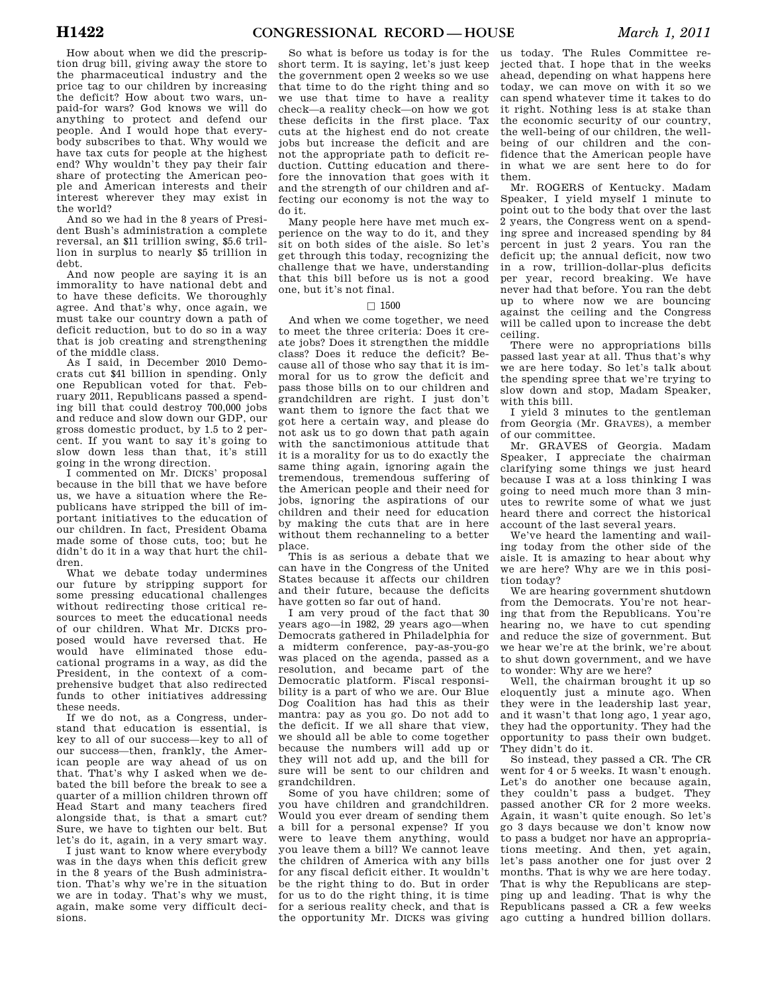How about when we did the prescription drug bill, giving away the store to the pharmaceutical industry and the price tag to our children by increasing the deficit? How about two wars, unpaid-for wars? God knows we will do anything to protect and defend our people. And I would hope that everybody subscribes to that. Why would we have tax cuts for people at the highest end? Why wouldn't they pay their fair share of protecting the American people and American interests and their interest wherever they may exist in the world?

And so we had in the 8 years of President Bush's administration a complete reversal, an \$11 trillion swing, \$5.6 trillion in surplus to nearly \$5 trillion in debt.

And now people are saying it is an immorality to have national debt and to have these deficits. We thoroughly agree. And that's why, once again, we must take our country down a path of deficit reduction, but to do so in a way that is job creating and strengthening of the middle class.

As I said, in December 2010 Democrats cut \$41 billion in spending. Only one Republican voted for that. February 2011, Republicans passed a spending bill that could destroy 700,000 jobs and reduce and slow down our GDP, our gross domestic product, by 1.5 to 2 percent. If you want to say it's going to slow down less than that, it's still going in the wrong direction.

I commented on Mr. DICKS' proposal because in the bill that we have before us, we have a situation where the Republicans have stripped the bill of important initiatives to the education of our children. In fact, President Obama made some of those cuts, too; but he didn't do it in a way that hurt the children.

What we debate today undermines our future by stripping support for some pressing educational challenges without redirecting those critical resources to meet the educational needs of our children. What Mr. DICKS proposed would have reversed that. He would have eliminated those educational programs in a way, as did the President, in the context of a comprehensive budget that also redirected funds to other initiatives addressing these needs.

If we do not, as a Congress, understand that education is essential, is key to all of our success—key to all of our success—then, frankly, the American people are way ahead of us on that. That's why I asked when we debated the bill before the break to see a quarter of a million children thrown off Head Start and many teachers fired alongside that, is that a smart cut? Sure, we have to tighten our belt. But let's do it, again, in a very smart way.

I just want to know where everybody was in the days when this deficit grew in the 8 years of the Bush administration. That's why we're in the situation we are in today. That's why we must, again, make some very difficult decisions.

So what is before us today is for the short term. It is saying, let's just keep the government open 2 weeks so we use that time to do the right thing and so we use that time to have a reality check—a reality check—on how we got these deficits in the first place. Tax cuts at the highest end do not create jobs but increase the deficit and are not the appropriate path to deficit reduction. Cutting education and therefore the innovation that goes with it and the strength of our children and affecting our economy is not the way to do it.

Many people here have met much experience on the way to do it, and they sit on both sides of the aisle. So let's get through this today, recognizing the challenge that we have, understanding that this bill before us is not a good one, but it's not final.

#### $\square$  1500

And when we come together, we need to meet the three criteria: Does it create jobs? Does it strengthen the middle class? Does it reduce the deficit? Because all of those who say that it is immoral for us to grow the deficit and pass those bills on to our children and grandchildren are right. I just don't want them to ignore the fact that we got here a certain way, and please do not ask us to go down that path again with the sanctimonious attitude that it is a morality for us to do exactly the same thing again, ignoring again the tremendous, tremendous suffering of the American people and their need for jobs, ignoring the aspirations of our children and their need for education by making the cuts that are in here without them rechanneling to a better place.

This is as serious a debate that we can have in the Congress of the United States because it affects our children and their future, because the deficits have gotten so far out of hand.

I am very proud of the fact that 30 years ago—in 1982, 29 years ago—when Democrats gathered in Philadelphia for a midterm conference, pay-as-you-go was placed on the agenda, passed as a resolution, and became part of the Democratic platform. Fiscal responsibility is a part of who we are. Our Blue Dog Coalition has had this as their mantra: pay as you go. Do not add to the deficit. If we all share that view, we should all be able to come together because the numbers will add up or they will not add up, and the bill for sure will be sent to our children and grandchildren.

Some of you have children; some of you have children and grandchildren. Would you ever dream of sending them a bill for a personal expense? If you were to leave them anything, would you leave them a bill? We cannot leave the children of America with any bills for any fiscal deficit either. It wouldn't be the right thing to do. But in order for us to do the right thing, it is time for a serious reality check, and that is the opportunity Mr. DICKS was giving

us today. The Rules Committee rejected that. I hope that in the weeks ahead, depending on what happens here today, we can move on with it so we can spend whatever time it takes to do it right. Nothing less is at stake than the economic security of our country, the well-being of our children, the wellbeing of our children and the confidence that the American people have in what we are sent here to do for them.

Mr. ROGERS of Kentucky. Madam Speaker, I yield myself 1 minute to point out to the body that over the last 2 years, the Congress went on a spending spree and increased spending by 84 percent in just 2 years. You ran the deficit up; the annual deficit, now two in a row, trillion-dollar-plus deficits per year, record breaking. We have never had that before. You ran the debt up to where now we are bouncing against the ceiling and the Congress will be called upon to increase the debt ceiling.

There were no appropriations bills passed last year at all. Thus that's why we are here today. So let's talk about the spending spree that we're trying to slow down and stop, Madam Speaker, with this bill.

I yield 3 minutes to the gentleman from Georgia (Mr. GRAVES), a member of our committee.

Mr. GRAVES of Georgia. Madam Speaker, I appreciate the chairman clarifying some things we just heard because I was at a loss thinking I was going to need much more than 3 minutes to rewrite some of what we just heard there and correct the historical account of the last several years.

We've heard the lamenting and wailing today from the other side of the aisle. It is amazing to hear about why we are here? Why are we in this position today?

We are hearing government shutdown from the Democrats. You're not hearing that from the Republicans. You're hearing no, we have to cut spending and reduce the size of government. But we hear we're at the brink, we're about to shut down government, and we have to wonder: Why are we here?

Well, the chairman brought it up so eloquently just a minute ago. When they were in the leadership last year, and it wasn't that long ago, 1 year ago, they had the opportunity. They had the opportunity to pass their own budget. They didn't do it.

So instead, they passed a CR. The CR went for 4 or 5 weeks. It wasn't enough. Let's do another one because again, they couldn't pass a budget. They passed another CR for 2 more weeks. Again, it wasn't quite enough. So let's go 3 days because we don't know now to pass a budget nor have an appropriations meeting. And then, yet again, let's pass another one for just over 2 months. That is why we are here today. That is why the Republicans are stepping up and leading. That is why the Republicans passed a CR a few weeks ago cutting a hundred billion dollars.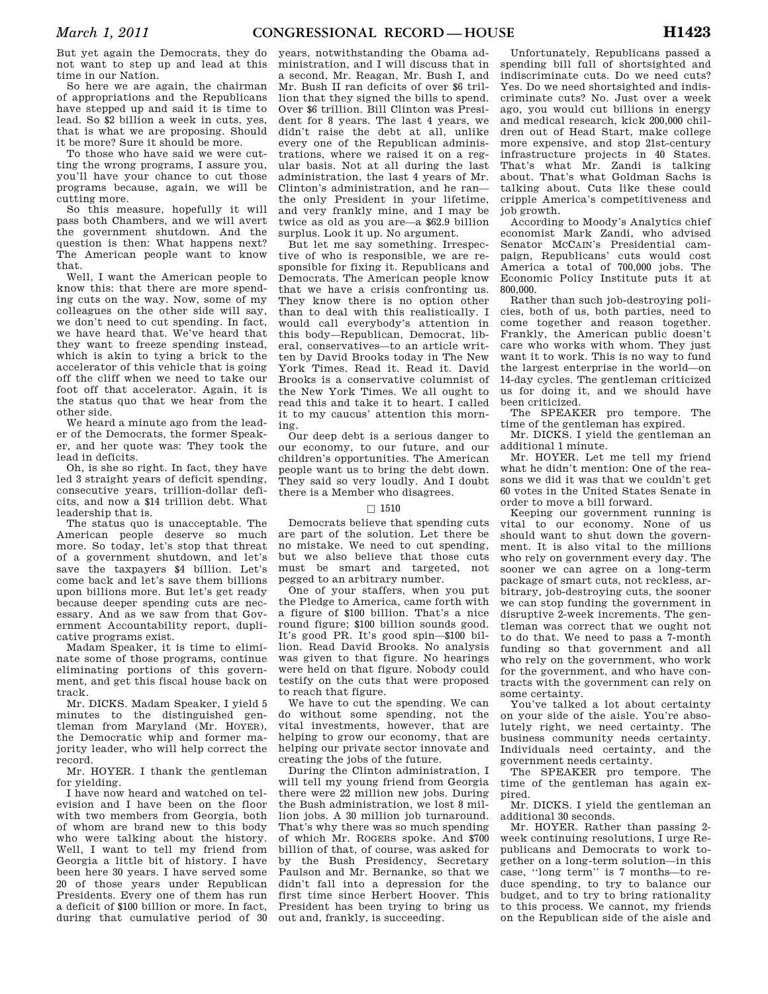But yet again the Democrats, they do not want to step up and lead at this time in our Nation.

So here we are again, the chairman of appropriations and the Republicans have stepped up and said it is time to lead. So \$2 billion a week in cuts, yes, that is what we are proposing. Should it be more? Sure it should be more.

To those who have said we were cutting the wrong programs, I assure you, you'll have your chance to cut those programs because, again, we will be cutting more.

So this measure, hopefully it will pass both Chambers, and we will avert the government shutdown. And the question is then: What happens next? The American people want to know that.

Well, I want the American people to know this: that there are more spending cuts on the way. Now, some of my colleagues on the other side will say, we don't need to cut spending. In fact, we have heard that. We've heard that they want to freeze spending instead, which is akin to tying a brick to the accelerator of this vehicle that is going off the cliff when we need to take our foot off that accelerator. Again, it is the status quo that we hear from the other side.

We heard a minute ago from the leader of the Democrats, the former Speaker, and her quote was: They took the lead in deficits.

Oh, is she so right. In fact, they have led 3 straight years of deficit spending, consecutive years, trillion-dollar deficits, and now a \$14 trillion debt. What leadership that is.

The status quo is unacceptable. The American people deserve so much more. So today, let's stop that threat of a government shutdown, and let's save the taxpayers \$4 billion. Let's come back and let's save them billions upon billions more. But let's get ready because deeper spending cuts are necessary. And as we saw from that Government Accountability report, duplicative programs exist.

Madam Speaker, it is time to eliminate some of those programs, continue eliminating portions of this government, and get this fiscal house back on track.

Mr. DICKS. Madam Speaker, I yield 5 minutes to the distinguished gentleman from Maryland (Mr. HOYER), the Democratic whip and former majority leader, who will help correct the record.

Mr. HOYER. I thank the gentleman for yielding.

I have now heard and watched on television and I have been on the floor with two members from Georgia, both of whom are brand new to this body who were talking about the history. Well, I want to tell my friend from Georgia a little bit of history. I have been here 30 years. I have served some 20 of those years under Republican Presidents. Every one of them has run a deficit of \$100 billion or more. In fact, during that cumulative period of 30

years, notwithstanding the Obama administration, and I will discuss that in a second, Mr. Reagan, Mr. Bush I, and Mr. Bush II ran deficits of over \$6 trillion that they signed the bills to spend. Over \$6 trillion. Bill Clinton was President for 8 years. The last 4 years, we didn't raise the debt at all, unlike every one of the Republican administrations, where we raised it on a regular basis. Not at all during the last administration, the last 4 years of Mr. Clinton's administration, and he ran the only President in your lifetime, and very frankly mine, and I may be twice as old as you are—a \$62.9 billion surplus. Look it up. No argument.

But let me say something. Irrespective of who is responsible, we are responsible for fixing it. Republicans and Democrats. The American people know that we have a crisis confronting us. They know there is no option other than to deal with this realistically. I would call everybody's attention in this body—Republican, Democrat, liberal, conservatives—to an article written by David Brooks today in The New York Times. Read it. Read it. David Brooks is a conservative columnist of the New York Times. We all ought to read this and take it to heart. I called it to my caucus' attention this morning.

Our deep debt is a serious danger to our economy, to our future, and our children's opportunities. The American people want us to bring the debt down. They said so very loudly. And I doubt there is a Member who disagrees.

#### $\Box$  1510

Democrats believe that spending cuts are part of the solution. Let there be no mistake. We need to cut spending, but we also believe that those cuts must be smart and targeted, not pegged to an arbitrary number.

One of your staffers, when you put the Pledge to America, came forth with a figure of \$100 billion. That's a nice round figure; \$100 billion sounds good. It's good PR. It's good spin—\$100 billion. Read David Brooks. No analysis was given to that figure. No hearings were held on that figure. Nobody could testify on the cuts that were proposed to reach that figure.

We have to cut the spending. We can do without some spending, not the vital investments, however, that are helping to grow our economy, that are helping our private sector innovate and creating the jobs of the future.

During the Clinton administration, I will tell my young friend from Georgia there were 22 million new jobs. During the Bush administration, we lost 8 million jobs. A 30 million job turnaround. That's why there was so much spending of which Mr. ROGERS spoke. And \$700 billion of that, of course, was asked for by the Bush Presidency, Secretary Paulson and Mr. Bernanke, so that we didn't fall into a depression for the first time since Herbert Hoover. This President has been trying to bring us out and, frankly, is succeeding.

Unfortunately, Republicans passed a spending bill full of shortsighted and indiscriminate cuts. Do we need cuts? Yes. Do we need shortsighted and indiscriminate cuts? No. Just over a week ago, you would cut billions in energy and medical research, kick 200,000 children out of Head Start, make college more expensive, and stop 21st-century infrastructure projects in 40 States. That's what Mr. Zandi is talking about. That's what Goldman Sachs is talking about. Cuts like these could cripple America's competitiveness and job growth.

According to Moody's Analytics chief economist Mark Zandi, who advised Senator MCCAIN's Presidential campaign, Republicans' cuts would cost America a total of 700,000 jobs. The Economic Policy Institute puts it at 800,000.

Rather than such job-destroying policies, both of us, both parties, need to come together and reason together. Frankly, the American public doesn't care who works with whom. They just want it to work. This is no way to fund the largest enterprise in the world—on 14-day cycles. The gentleman criticized us for doing it, and we should have been criticized.

The SPEAKER pro tempore. The time of the gentleman has expired.

Mr. DICKS. I yield the gentleman an additional 1 minute.

Mr. HOYER. Let me tell my friend what he didn't mention: One of the reasons we did it was that we couldn't get 60 votes in the United States Senate in order to move a bill forward.

Keeping our government running is vital to our economy. None of us should want to shut down the government. It is also vital to the millions who rely on government every day. The sooner we can agree on a long-term package of smart cuts, not reckless, arbitrary, job-destroying cuts, the sooner we can stop funding the government in disruptive 2-week increments. The gentleman was correct that we ought not to do that. We need to pass a 7-month funding so that government and all who rely on the government, who work for the government, and who have contracts with the government can rely on some certainty.

You've talked a lot about certainty on your side of the aisle. You're absolutely right, we need certainty. The business community needs certainty. Individuals need certainty, and the government needs certainty.

The SPEAKER pro tempore. The time of the gentleman has again expired.

Mr. DICKS. I yield the gentleman an additional 30 seconds.

Mr. HOYER. Rather than passing 2 week continuing resolutions, I urge Republicans and Democrats to work together on a long-term solution—in this case, ''long term'' is 7 months—to reduce spending, to try to balance our budget, and to try to bring rationality to this process. We cannot, my friends on the Republican side of the aisle and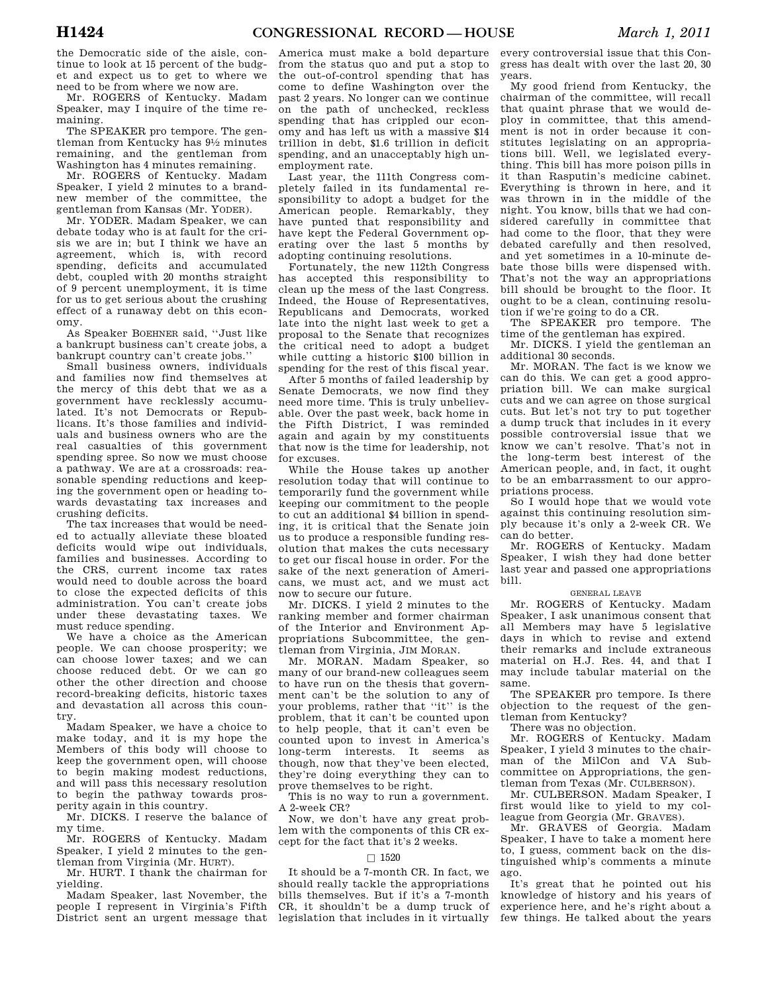the Democratic side of the aisle, continue to look at 15 percent of the budget and expect us to get to where we need to be from where we now are.

Mr. ROGERS of Kentucky. Madam Speaker, may I inquire of the time remaining.

The SPEAKER pro tempore. The gentleman from Kentucky has 91⁄2 minutes remaining, and the gentleman from Washington has 4 minutes remaining.

Mr. ROGERS of Kentucky. Madam Speaker, I yield 2 minutes to a brandnew member of the committee, the gentleman from Kansas (Mr. YODER).

Mr. YODER. Madam Speaker, we can debate today who is at fault for the crisis we are in; but I think we have an agreement, which is, with record spending, deficits and accumulated debt, coupled with 20 months straight of 9 percent unemployment, it is time for us to get serious about the crushing effect of a runaway debt on this economy.

As Speaker BOEHNER said, ''Just like a bankrupt business can't create jobs, a bankrupt country can't create jobs.''

Small business owners, individuals and families now find themselves at the mercy of this debt that we as a government have recklessly accumulated. It's not Democrats or Republicans. It's those families and individuals and business owners who are the real casualties of this government spending spree. So now we must choose a pathway. We are at a crossroads: reasonable spending reductions and keeping the government open or heading towards devastating tax increases and crushing deficits.

The tax increases that would be needed to actually alleviate these bloated deficits would wipe out individuals, families and businesses. According to the CRS, current income tax rates would need to double across the board to close the expected deficits of this administration. You can't create jobs under these devastating taxes. We must reduce spending.

We have a choice as the American people. We can choose prosperity; we can choose lower taxes; and we can choose reduced debt. Or we can go other the other direction and choose record-breaking deficits, historic taxes and devastation all across this country.

Madam Speaker, we have a choice to make today, and it is my hope the Members of this body will choose to keep the government open, will choose to begin making modest reductions, and will pass this necessary resolution to begin the pathway towards prosperity again in this country.

Mr. DICKS. I reserve the balance of my time.

Mr. ROGERS of Kentucky. Madam Speaker, I yield 2 minutes to the gentleman from Virginia (Mr. HURT).

Mr. HURT. I thank the chairman for yielding.

Madam Speaker, last November, the people I represent in Virginia's Fifth District sent an urgent message that

America must make a bold departure from the status quo and put a stop to the out-of-control spending that has come to define Washington over the past 2 years. No longer can we continue on the path of unchecked, reckless spending that has crippled our economy and has left us with a massive \$14 trillion in debt, \$1.6 trillion in deficit spending, and an unacceptably high unemployment rate.

Last year, the 111th Congress completely failed in its fundamental responsibility to adopt a budget for the American people. Remarkably, they have punted that responsibility and have kept the Federal Government operating over the last 5 months by adopting continuing resolutions.

Fortunately, the new 112th Congress has accepted this responsibility to clean up the mess of the last Congress. Indeed, the House of Representatives, Republicans and Democrats, worked late into the night last week to get a proposal to the Senate that recognizes the critical need to adopt a budget while cutting a historic \$100 billion in spending for the rest of this fiscal year.

After 5 months of failed leadership by Senate Democrats, we now find they need more time. This is truly unbelievable. Over the past week, back home in the Fifth District, I was reminded again and again by my constituents that now is the time for leadership, not for excuses.

While the House takes up another resolution today that will continue to temporarily fund the government while keeping our commitment to the people to cut an additional \$4 billion in spending, it is critical that the Senate join us to produce a responsible funding resolution that makes the cuts necessary to get our fiscal house in order. For the sake of the next generation of Americans, we must act, and we must act now to secure our future.

Mr. DICKS. I yield 2 minutes to the ranking member and former chairman of the Interior and Environment Appropriations Subcommittee, the gentleman from Virginia, JIM MORAN.

Mr. MORAN. Madam Speaker, so many of our brand-new colleagues seem to have run on the thesis that government can't be the solution to any of your problems, rather that ''it'' is the problem, that it can't be counted upon to help people, that it can't even be counted upon to invest in America's long-term interests. It seems as though, now that they've been elected, they're doing everything they can to prove themselves to be right.

This is no way to run a government. A 2-week CR?

Now, we don't have any great problem with the components of this CR except for the fact that it's 2 weeks.

### $\Box$  1520

It should be a 7-month CR. In fact, we should really tackle the appropriations bills themselves. But if it's a 7-month CR, it shouldn't be a dump truck of legislation that includes in it virtually every controversial issue that this Congress has dealt with over the last 20, 30 years.

My good friend from Kentucky, the chairman of the committee, will recall that quaint phrase that we would deploy in committee, that this amendment is not in order because it constitutes legislating on an appropriations bill. Well, we legislated everything. This bill has more poison pills in it than Rasputin's medicine cabinet. Everything is thrown in here, and it was thrown in in the middle of the night. You know, bills that we had considered carefully in committee that had come to the floor, that they were debated carefully and then resolved, and yet sometimes in a 10-minute debate those bills were dispensed with. That's not the way an appropriations bill should be brought to the floor. It ought to be a clean, continuing resolution if we're going to do a CR.

The SPEAKER pro tempore. The time of the gentleman has expired.

Mr. DICKS. I yield the gentleman an additional 30 seconds.

Mr. MORAN. The fact is we know we can do this. We can get a good appropriation bill. We can make surgical cuts and we can agree on those surgical cuts. But let's not try to put together a dump truck that includes in it every possible controversial issue that we know we can't resolve. That's not in the long-term best interest of the American people, and, in fact, it ought to be an embarrassment to our appropriations process.

So I would hope that we would vote against this continuing resolution simply because it's only a 2-week CR. We can do better.

Mr. ROGERS of Kentucky. Madam Speaker, I wish they had done better last year and passed one appropriations bill.

#### GENERAL LEAVE

Mr. ROGERS of Kentucky. Madam Speaker, I ask unanimous consent that all Members may have 5 legislative days in which to revise and extend their remarks and include extraneous material on H.J. Res. 44, and that I may include tabular material on the same.

The SPEAKER pro tempore. Is there objection to the request of the gentleman from Kentucky?

There was no objection.

Mr. ROGERS of Kentucky. Madam Speaker, I yield 3 minutes to the chairman of the MilCon and VA Subcommittee on Appropriations, the gentleman from Texas (Mr. CULBERSON).

Mr. CULBERSON. Madam Speaker, I first would like to yield to my colleague from Georgia (Mr. GRAVES).

Mr. GRAVES of Georgia. Madam Speaker, I have to take a moment here to, I guess, comment back on the distinguished whip's comments a minute ago.

It's great that he pointed out his knowledge of history and his years of experience here, and he's right about a few things. He talked about the years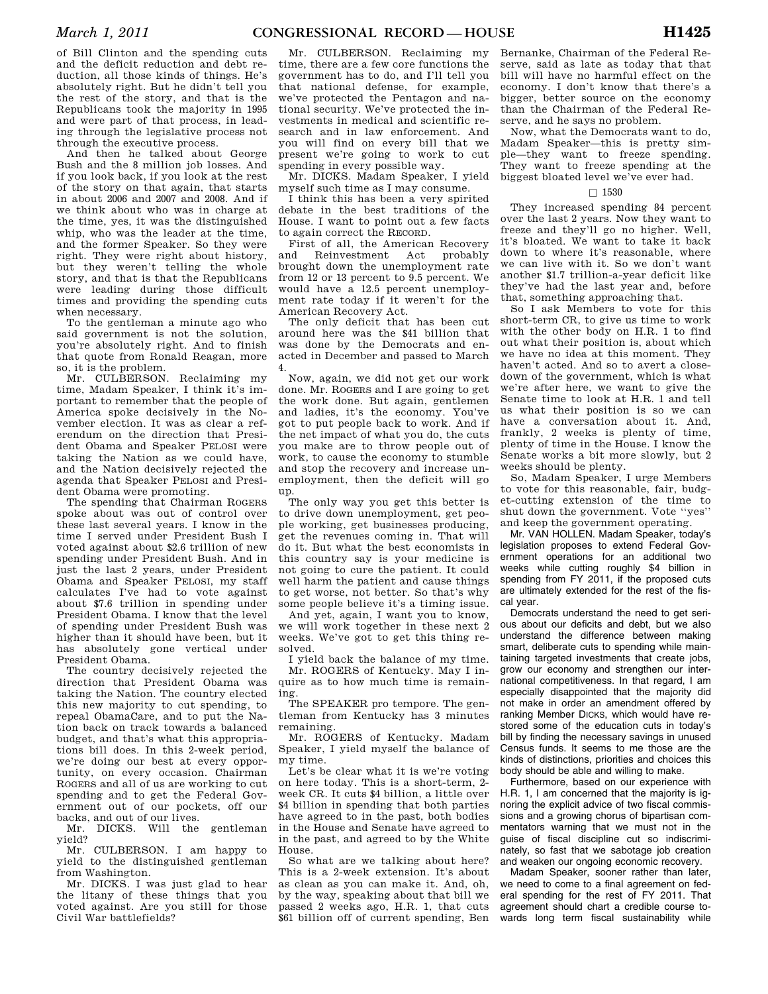of Bill Clinton and the spending cuts and the deficit reduction and debt reduction, all those kinds of things. He's absolutely right. But he didn't tell you the rest of the story, and that is the Republicans took the majority in 1995 and were part of that process, in leading through the legislative process not through the executive process.

And then he talked about George Bush and the 8 million job losses. And if you look back, if you look at the rest of the story on that again, that starts in about 2006 and 2007 and 2008. And if we think about who was in charge at the time, yes, it was the distinguished whip, who was the leader at the time. and the former Speaker. So they were right. They were right about history, but they weren't telling the whole story, and that is that the Republicans were leading during those difficult times and providing the spending cuts when necessary.

To the gentleman a minute ago who said government is not the solution, you're absolutely right. And to finish that quote from Ronald Reagan, more so, it is the problem.

Mr. CULBERSON. Reclaiming my time, Madam Speaker, I think it's important to remember that the people of America spoke decisively in the November election. It was as clear a referendum on the direction that President Obama and Speaker PELOSI were taking the Nation as we could have, and the Nation decisively rejected the agenda that Speaker PELOSI and President Obama were promoting.

The spending that Chairman ROGERS spoke about was out of control over these last several years. I know in the time I served under President Bush I voted against about \$2.6 trillion of new spending under President Bush. And in just the last 2 years, under President Obama and Speaker PELOSI, my staff calculates I've had to vote against about \$7.6 trillion in spending under President Obama. I know that the level of spending under President Bush was higher than it should have been, but it has absolutely gone vertical under President Obama.

The country decisively rejected the direction that President Obama was taking the Nation. The country elected this new majority to cut spending, to repeal ObamaCare, and to put the Nation back on track towards a balanced budget, and that's what this appropriations bill does. In this 2-week period, we're doing our best at every opportunity, on every occasion. Chairman ROGERS and all of us are working to cut spending and to get the Federal Government out of our pockets, off our backs, and out of our lives.

Mr. DICKS. Will the gentleman yield?

Mr. CULBERSON. I am happy to yield to the distinguished gentleman from Washington.

Mr. DICKS. I was just glad to hear the litany of these things that you voted against. Are you still for those Civil War battlefields?

Mr. CULBERSON. Reclaiming my time, there are a few core functions the government has to do, and I'll tell you that national defense, for example, we've protected the Pentagon and national security. We've protected the investments in medical and scientific research and in law enforcement. And you will find on every bill that we present we're going to work to cut spending in every possible way.

Mr. DICKS. Madam Speaker, I yield myself such time as I may consume.

I think this has been a very spirited debate in the best traditions of the House. I want to point out a few facts to again correct the RECORD.

First of all, the American Recovery and Reinvestment Act probably brought down the unemployment rate from 12 or 13 percent to 9.5 percent. We would have a 12.5 percent unemployment rate today if it weren't for the American Recovery Act.

The only deficit that has been cut around here was the \$41 billion that was done by the Democrats and enacted in December and passed to March 4.

Now, again, we did not get our work done. Mr. ROGERS and I are going to get the work done. But again, gentlemen and ladies, it's the economy. You've got to put people back to work. And if the net impact of what you do, the cuts you make are to throw people out of work, to cause the economy to stumble and stop the recovery and increase unemployment, then the deficit will go up.

The only way you get this better is to drive down unemployment, get people working, get businesses producing, get the revenues coming in. That will do it. But what the best economists in this country say is your medicine is not going to cure the patient. It could well harm the patient and cause things to get worse, not better. So that's why some people believe it's a timing issue.

And yet, again, I want you to know, we will work together in these next 2 weeks. We've got to get this thing resolved.

I yield back the balance of my time. Mr. ROGERS of Kentucky. May I inquire as to how much time is remain-

ing. The SPEAKER pro tempore. The gentleman from Kentucky has 3 minutes remaining.

Mr. ROGERS of Kentucky. Madam Speaker, I yield myself the balance of my time.

Let's be clear what it is we're voting on here today. This is a short-term, 2 week CR. It cuts \$4 billion, a little over \$4 billion in spending that both parties have agreed to in the past, both bodies in the House and Senate have agreed to in the past, and agreed to by the White House.

So what are we talking about here? This is a 2-week extension. It's about as clean as you can make it. And, oh, by the way, speaking about that bill we passed 2 weeks ago, H.R. 1, that cuts \$61 billion off of current spending, Ben

Bernanke, Chairman of the Federal Reserve, said as late as today that that bill will have no harmful effect on the economy. I don't know that there's a bigger, better source on the economy than the Chairman of the Federal Reserve, and he says no problem.

Now, what the Democrats want to do, Madam Speaker—this is pretty simple—they want to freeze spending. They want to freeze spending at the biggest bloated level we've ever had.

#### $\Box$  1530

They increased spending 84 percent over the last 2 years. Now they want to freeze and they'll go no higher. Well, it's bloated. We want to take it back down to where it's reasonable, where we can live with it. So we don't want another \$1.7 trillion-a-year deficit like they've had the last year and, before that, something approaching that.

So I ask Members to vote for this short-term CR, to give us time to work with the other body on H.R. 1 to find out what their position is, about which we have no idea at this moment. They haven't acted. And so to avert a closedown of the government, which is what we're after here, we want to give the Senate time to look at H.R. 1 and tell us what their position is so we can have a conversation about it. And, frankly, 2 weeks is plenty of time, plenty of time in the House. I know the Senate works a bit more slowly, but 2 weeks should be plenty.

So, Madam Speaker, I urge Members to vote for this reasonable, fair, budget-cutting extension of the time to shut down the government. Vote ''yes'' and keep the government operating.

Mr. VAN HOLLEN. Madam Speaker, today's legislation proposes to extend Federal Government operations for an additional two weeks while cutting roughly \$4 billion in spending from FY 2011, if the proposed cuts are ultimately extended for the rest of the fiscal year.

Democrats understand the need to get serious about our deficits and debt, but we also understand the difference between making smart, deliberate cuts to spending while maintaining targeted investments that create jobs, grow our economy and strengthen our international competitiveness. In that regard, I am especially disappointed that the majority did not make in order an amendment offered by ranking Member DICKS, which would have restored some of the education cuts in today's bill by finding the necessary savings in unused Census funds. It seems to me those are the kinds of distinctions, priorities and choices this body should be able and willing to make.

Furthermore, based on our experience with H.R. 1, I am concerned that the majority is ignoring the explicit advice of two fiscal commissions and a growing chorus of bipartisan commentators warning that we must not in the guise of fiscal discipline cut so indiscriminately, so fast that we sabotage job creation and weaken our ongoing economic recovery.

Madam Speaker, sooner rather than later, we need to come to a final agreement on federal spending for the rest of FY 2011. That agreement should chart a credible course towards long term fiscal sustainability while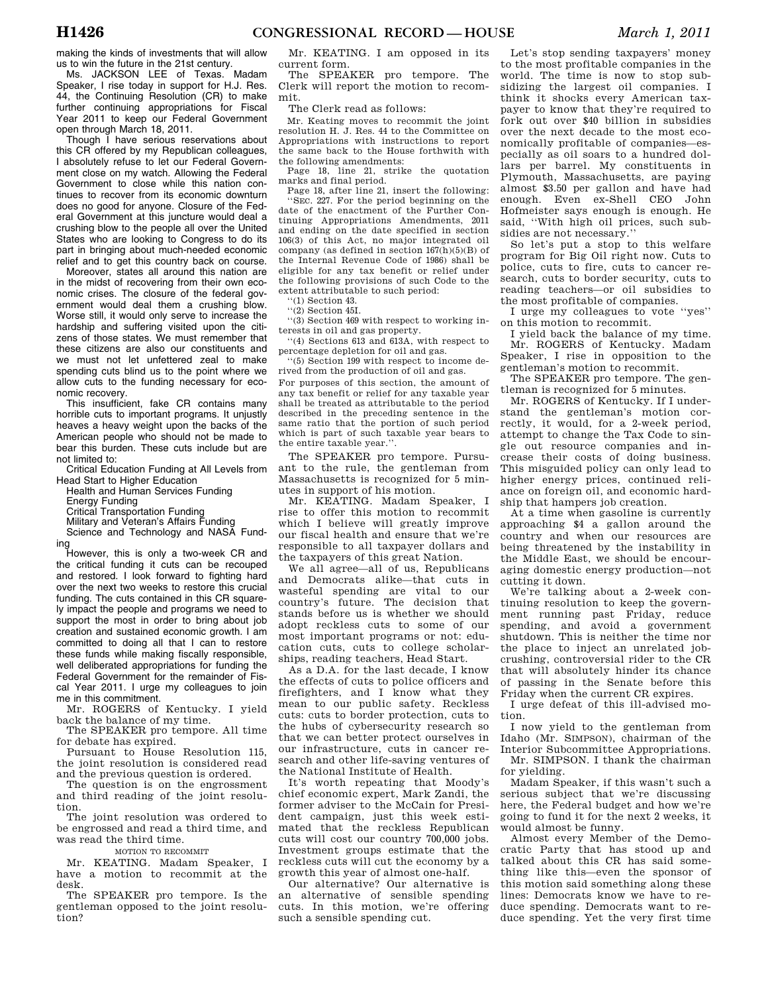making the kinds of investments that will allow us to win the future in the 21st century.

Ms. JACKSON LEE of Texas. Madam Speaker, I rise today in support for H.J. Res. 44, the Continuing Resolution (CR) to make further continuing appropriations for Fiscal Year 2011 to keep our Federal Government open through March 18, 2011.

Though I have serious reservations about this CR offered by my Republican colleagues, I absolutely refuse to let our Federal Government close on my watch. Allowing the Federal Government to close while this nation continues to recover from its economic downturn does no good for anyone. Closure of the Federal Government at this juncture would deal a crushing blow to the people all over the United States who are looking to Congress to do its part in bringing about much-needed economic relief and to get this country back on course.

Moreover, states all around this nation are in the midst of recovering from their own economic crises. The closure of the federal government would deal them a crushing blow. Worse still, it would only serve to increase the hardship and suffering visited upon the citizens of those states. We must remember that these citizens are also our constituents and we must not let unfettered zeal to make spending cuts blind us to the point where we allow cuts to the funding necessary for economic recovery.

This insufficient, fake CR contains many horrible cuts to important programs. It unjustly heaves a heavy weight upon the backs of the American people who should not be made to bear this burden. These cuts include but are not limited to:

Critical Education Funding at All Levels from Head Start to Higher Education

Health and Human Services Funding

Energy Funding

Critical Transportation Funding

Military and Veteran's Affairs Funding Science and Technology and NASA Fund-

ing However, this is only a two-week CR and the critical funding it cuts can be recouped and restored. I look forward to fighting hard over the next two weeks to restore this crucial funding. The cuts contained in this CR squarely impact the people and programs we need to support the most in order to bring about job creation and sustained economic growth. I am committed to doing all that I can to restore these funds while making fiscally responsible, well deliberated appropriations for funding the Federal Government for the remainder of Fiscal Year 2011. I urge my colleagues to join me in this commitment.

Mr. ROGERS of Kentucky. I yield back the balance of my time.

The SPEAKER pro tempore. All time for debate has expired.

Pursuant to House Resolution 115, the joint resolution is considered read and the previous question is ordered.

The question is on the engrossment and third reading of the joint resolution.

The joint resolution was ordered to be engrossed and read a third time, and was read the third time.

#### MOTION TO RECOMMIT

Mr. KEATING. Madam Speaker, I have a motion to recommit at the desk.

The SPEAKER pro tempore. Is the gentleman opposed to the joint resolution?

Mr. KEATING. I am opposed in its current form.

The SPEAKER pro tempore. The Clerk will report the motion to recommit.

The Clerk read as follows:

Mr. Keating moves to recommit the joint resolution H. J. Res. 44 to the Committee on Appropriations with instructions to report the same back to the House forthwith with the following amendments:

Page 18, line 21, strike the quotation marks and final period.

Page 18, after line 21, insert the following: 'SEC. 227. For the period beginning on the date of the enactment of the Further Continuing Appropriations Amendments, 2011 and ending on the date specified in section 106(3) of this Act, no major integrated oil company (as defined in section 167(h)(5)(B) of the Internal Revenue Code of 1986) shall be eligible for any tax benefit or relief under the following provisions of such Code to the extent attributable to such period:

''(1) Section 43.

 $''(2)$  Section 45I.

''(3) Section 469 with respect to working interests in oil and gas property.

''(4) Sections 613 and 613A, with respect to percentage depletion for oil and gas.

''(5) Section 199 with respect to income derived from the production of oil and gas.

For purposes of this section, the amount of any tax benefit or relief for any taxable year shall be treated as attributable to the period described in the preceding sentence in the same ratio that the portion of such period which is part of such taxable year bears to the entire taxable year."

The SPEAKER pro tempore. Pursuant to the rule, the gentleman from Massachusetts is recognized for 5 minutes in support of his motion.

Mr. KEATING. Madam Speaker, I rise to offer this motion to recommit which I believe will greatly improve our fiscal health and ensure that we're responsible to all taxpayer dollars and the taxpayers of this great Nation.

We all agree—all of us, Republicans and Democrats alike—that cuts in wasteful spending are vital to our country's future. The decision that stands before us is whether we should adopt reckless cuts to some of our most important programs or not: education cuts, cuts to college scholarships, reading teachers, Head Start.

As a D.A. for the last decade, I know the effects of cuts to police officers and firefighters, and I know what they mean to our public safety. Reckless cuts: cuts to border protection, cuts to the hubs of cybersecurity research so that we can better protect ourselves in our infrastructure, cuts in cancer research and other life-saving ventures of the National Institute of Health.

It's worth repeating that Moody's chief economic expert, Mark Zandi, the former adviser to the McCain for President campaign, just this week estimated that the reckless Republican cuts will cost our country 700,000 jobs. Investment groups estimate that the reckless cuts will cut the economy by a growth this year of almost one-half.

Our alternative? Our alternative is an alternative of sensible spending cuts. In this motion, we're offering such a sensible spending cut.

Let's stop sending taxpayers' money to the most profitable companies in the world. The time is now to stop subsidizing the largest oil companies. I think it shocks every American taxpayer to know that they're required to fork out over \$40 billion in subsidies over the next decade to the most economically profitable of companies—especially as oil soars to a hundred dollars per barrel. My constituents in Plymouth, Massachusetts, are paying almost \$3.50 per gallon and have had enough. Even ex-Shell CEO John Hofmeister says enough is enough. He said, ''With high oil prices, such subsidies are not necessary.''

So let's put a stop to this welfare program for Big Oil right now. Cuts to police, cuts to fire, cuts to cancer research, cuts to border security, cuts to reading teachers—or oil subsidies to the most profitable of companies.

I urge my colleagues to vote ''yes'' on this motion to recommit.

I yield back the balance of my time. Mr. ROGERS of Kentucky. Madam Speaker, I rise in opposition to the gentleman's motion to recommit.

The SPEAKER pro tempore. The gentleman is recognized for 5 minutes.

Mr. ROGERS of Kentucky. If I understand the gentleman's motion correctly, it would, for a 2-week period, attempt to change the Tax Code to single out resource companies and increase their costs of doing business. This misguided policy can only lead to higher energy prices, continued reliance on foreign oil, and economic hardship that hampers job creation.

At a time when gasoline is currently approaching \$4 a gallon around the country and when our resources are being threatened by the instability in the Middle East, we should be encouraging domestic energy production—not cutting it down.

We're talking about a 2-week continuing resolution to keep the government running past Friday, reduce spending, and avoid a government shutdown. This is neither the time nor the place to inject an unrelated jobcrushing, controversial rider to the CR that will absolutely hinder its chance of passing in the Senate before this Friday when the current CR expires.

I urge defeat of this ill-advised motion.

I now yield to the gentleman from Idaho (Mr. SIMPSON), chairman of the Interior Subcommittee Appropriations. Mr. SIMPSON. I thank the chairman for yielding.

Madam Speaker, if this wasn't such a serious subject that we're discussing here, the Federal budget and how we're going to fund it for the next 2 weeks, it would almost be funny.

Almost every Member of the Democratic Party that has stood up and talked about this CR has said something like this—even the sponsor of this motion said something along these lines: Democrats know we have to reduce spending. Democrats want to reduce spending. Yet the very first time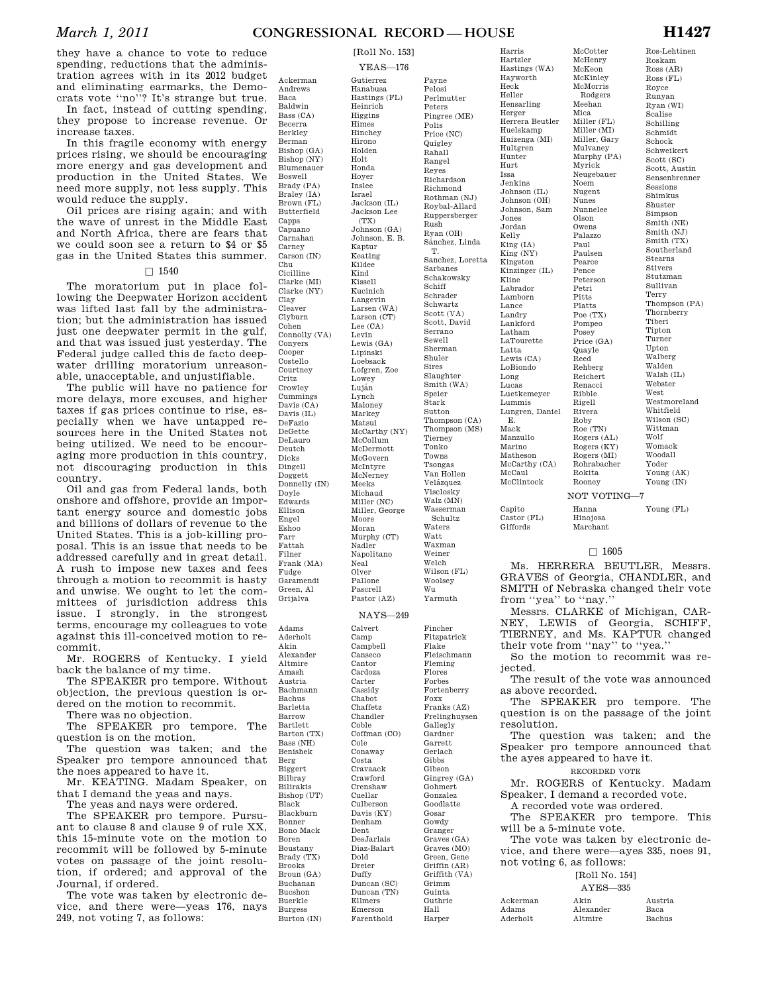Payne Pelosi

they have a chance to vote to reduce spending, reductions that the administration agrees with in its 2012 budget and eliminating earmarks, the Democrats vote ''no''? It's strange but true.

In fact, instead of cutting spending, they propose to increase revenue. Or increase taxes.

In this fragile economy with energy prices rising, we should be encouraging more energy and gas development and production in the United States. We need more supply, not less supply. This would reduce the supply.

Oil prices are rising again; and with the wave of unrest in the Middle East and North Africa, there are fears that we could soon see a return to \$4 or \$5 gas in the United States this summer.

 $\Box$  1540

The moratorium put in place following the Deepwater Horizon accident was lifted last fall by the administration; but the administration has issued just one deepwater permit in the gulf, and that was issued just yesterday. The Federal judge called this de facto deepwater drilling moratorium unreasonable, unacceptable, and unjustifiable.

The public will have no patience for more delays, more excuses, and higher taxes if gas prices continue to rise, especially when we have untapped resources here in the United States not being utilized. We need to be encouraging more production in this country, not discouraging production in this country.

Oil and gas from Federal lands, both onshore and offshore, provide an important energy source and domestic jobs and billions of dollars of revenue to the United States. This is a job-killing proposal. This is an issue that needs to be addressed carefully and in great detail. A rush to impose new taxes and fees through a motion to recommit is hasty and unwise. We ought to let the committees of jurisdiction address this issue. I strongly, in the strongest terms, encourage my colleagues to vote against this ill-conceived motion to recommit.

Mr. ROGERS of Kentucky. I yield back the balance of my time.

The SPEAKER pro tempore. Without objection, the previous question is ordered on the motion to recommit.

There was no objection.

The SPEAKER pro tempore. The question is on the motion.

The question was taken; and the Speaker pro tempore announced that the noes appeared to have it.

Mr. KEATING. Madam Speaker, on that I demand the yeas and nays.

The yeas and nays were ordered. The SPEAKER pro tempore. Pursuant to clause 8 and clause 9 of rule XX, this 15-minute vote on the motion to recommit will be followed by 5-minute votes on passage of the joint resolution, if ordered; and approval of the Journal, if ordered.

The vote was taken by electronic device, and there were—yeas 176, nays 249, not voting 7, as follows:

Ackerman Andrews Baca Baldwin Bass (CA) Becerra Berkley Berman Bishop (GA) Bishop (NY) Blumenauer Boswell Brady (PA) Braley (IA) Brown (FL) Butterfield Capps Capuano Carnahan Carney Carson (IN) Chu Cicilline Clarke (MI) Clarke (NY) Clay Cleaver Clyburn Cohen Connolly (VA) Conyers Cooper Costello Courtney Critz Crowley Cummings Davis (CA) Davis (IL) DeFazio DeGette DeLauro Deutch Dicks Dingell Doggett. Donnelly (IN) Doyle Edwards Ellison Engel Eshoo Farr Fattah Filner Frank (MA) Fudge Garamendi Green, Al Grijalva Adams Aderholt Calvert Camp Campbell

Akin Alexander Altmire Amash Austria Bachmann Bachus Barletta Barrow Bartlett Barton (TX) Bass (NH) Benishek Berg Biggert Bilbray Bilirakis Bishop (UT) Black Blackburn Bonner Bono Mack Boren Boustany Brady (TX) Brooks Broun (GA) Buchanan Bucshon Buerkle Burgess Burton (IN)

YEAS—176 Gutierrez Hanabusa Hastings (FL) Heinrich Higgins Himes Hinchey Hirono Holden Holt Honda Hoyer Inslee Israel Jackson (IL) Jackson Lee  $(TY)$ Johnson (GA) Johnson, E. B. Kaptur Keating Kildee Kind Kissell Kucinich Langevin Larsen (WA) Larson (CT) Lee (CA) Levin Lewis (GA) Lipinski Loebsack Lofgren, Zoe Lowey Luján Lynch Maloney Markey Matsui McCarthy (NY) McCollum McDermott McGovern McIntyre McNerney Meeks Michaud Miller (NC) Miller, George Moore Moran Murphy (CT) Nadler Napolitano Neal Olver Pallone Pascrell Pastor (AZ) NAYS—249

> Canseco Cantor Cardoza Carter Cassidy Chabot Chaffetz Chandler Coble Coffman (CO) Cole Conaway Costa Cravaack Crawford Crenshaw Cuellar Culberson Davis (KY) Denham Dent DesJarlais Diaz-Balart Dold Dreier Duffy Duncan (SC) Duncan (TN) Ellmers Emerson Farenthold

Perlmutter Peters Pingree (ME) Polis Price (NC) **Quigley** Rahall Rangel Reyes Richardson Richmond Rothman (NJ) Roybal-Allard Ruppersberger Rush Ryan (OH) Sánchez, Linda T. Sanchez, Loretta Sarbanes Schakowsky Schiff Schrader Schwartz Scott (VA) Scott, David Serrano Sewell Sherman Shuler Sires Slaughter Smith (WA) Speier Stark Sutton Thompson (CA) Thompson (MS) Tierney Tonko Towns Tsongas Van Hollen Velázquez Visclosky Walz (MN) Wasserman Schultz Waters Watt Waxman Weiner Welch Wilson (FL) Woolsey Wu Yarmuth Fincher Fitzpatrick Flake Fleischmann Fleming Flores Forbes Fortenberry Foxx Franks (AZ) Frelinghuysen Gallegly Gardner Garrett Gerlach Gibbs Gibson Gingrey (GA) Gohmert Gonzalez Goodlatte Gosar Gowdy Granger Graves (GA) Graves (MO) Green, Gene Griffin (AR) Griffith (VA) Grimm Guinta Guthrie Hall Harper

Harris Hartzler Hastings (WA) Hayworth Heck Heller Hensarling Herger Herrera Beutler Huelskamp Huizenga (MI) Hultgren Hunter Hurt Issa Jenkins Johnson (IL) Johnson (OH) Johnson, Sam Jones Jordan Kelly King (IA) King (NY) Kingston Kinzinger (IL) Kline Labrador Lamborn Lance Landry Lankford Latham LaTourette Latta Lewis (CA) LoBiondo Long Lucas Luetkemeyer Lummis Lungren, Daniel E. Mack Manzullo Marino Matheson McCarthy (CA) McCaul McClintock Capito Castor (FL)

McCotter McHenry McKeon McKinley McMorris Rodgers Meehan Mica Miller (FL) Miller (MI) Miller, Gary Mulvaney Murphy (PA) Myrick Neugebauer Noem Nugent Nunes Nunnelee Olson Owens Palazzo Paul Paulsen Pearce Pence Peterson Petri Pitts Platts Poe (TX) Pompeo Posey Price (GA) Quayle Reed Rehberg Reichert Renacci Ribble Rigell Rivera Roby Roe (TN) Rogers (AL) Rogers (KY) Rogers (MI) Rohrabacher Rokita Rooney NOT VOTING—7

Hanna Hinojosa Marchant

Giffords

## $\Box$  1605

Ms. HERRERA BEUTLER, Messrs. GRAVES of Georgia, CHANDLER, and SMITH of Nebraska changed their vote from ''yea'' to ''nay.''

Messrs. CLARKE of Michigan, CAR-NEY, LEWIS of Georgia, SCHIFF, TIERNEY, and Ms. KAPTUR changed their vote from ''nay'' to ''yea.''

So the motion to recommit was rejected.

The result of the vote was announced as above recorded.

The SPEAKER pro tempore. The question is on the passage of the joint resolution.

The question was taken; and the Speaker pro tempore announced that the ayes appeared to have it.

RECORDED VOTE

Mr. ROGERS of Kentucky. Madam Speaker, I demand a recorded vote. A recorded vote was ordered.

The SPEAKER pro tempore. This will be a 5-minute vote.

The vote was taken by electronic device, and there were—ayes 335, noes 91, not voting 6, as follows:

#### [Roll No. 154]  $\Delta$   $\Delta$   $\overline{z}$   $\overline{z}$   $\overline{z}$   $\overline{z}$

|          | A Y ES—330 |         |
|----------|------------|---------|
| Ackerman | Akin       | Austria |
| Adams    | Alexander  | Baca.   |
| Aderholt | Altmire    | Bachus  |

Ros-Lehtinen Roskam Ross (AR) Ross (FL) Royce Runyan Ryan (WI) Scalise Schilling Schmidt Schock Schweikert Scott (SC) Scott, Austin Sensenbrenner Sessions Shimkus Shuster Simpson Smith (NE) Smith (NJ) Smith (TX) Southerland Stearns Stivers Stutzman Sullivan Terry Thompson (PA) Thornberry Tiberi Tipton Turner Upton Walberg Walden Walsh (IL) Webster West Westmoreland Whitfield Wilson (SC) Wittman Wolf Womack Woodall Yoder Young (AK) Young (IN)

Young (FL)